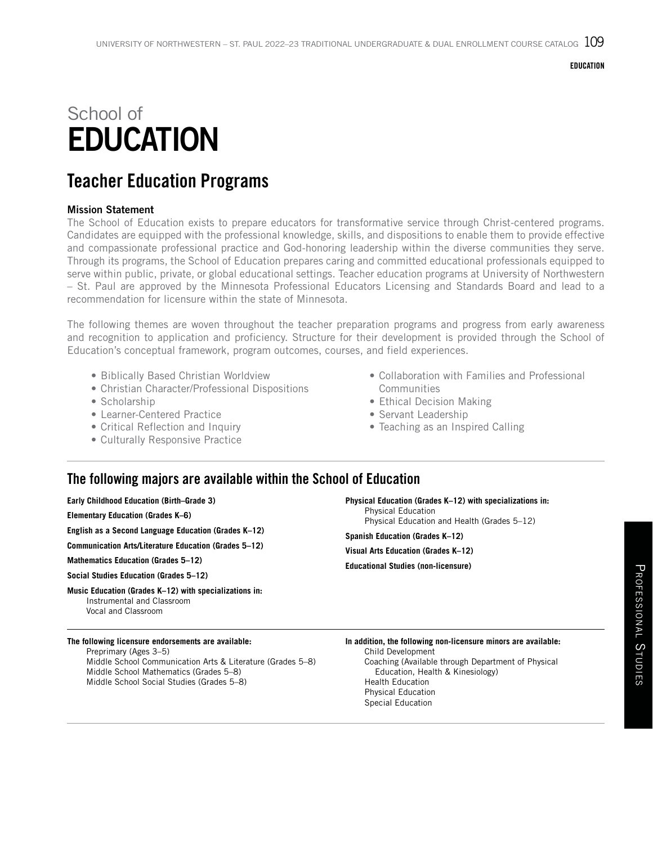# School of **EDUCATION**

# Teacher Education Programs

### Mission Statement

The School of Education exists to prepare educators for transformative service through Christ-centered programs. Candidates are equipped with the professional knowledge, skills, and dispositions to enable them to provide effective and compassionate professional practice and God-honoring leadership within the diverse communities they serve. Through its programs, the School of Education prepares caring and committed educational professionals equipped to serve within public, private, or global educational settings. Teacher education programs at University of Northwestern – St. Paul are approved by the Minnesota Professional Educators Licensing and Standards Board and lead to a recommendation for licensure within the state of Minnesota.

The following themes are woven throughout the teacher preparation programs and progress from early awareness and recognition to application and proficiency. Structure for their development is provided through the School of Education's conceptual framework, program outcomes, courses, and field experiences.

- Biblically Based Christian Worldview
- Christian Character/Professional Dispositions
- Scholarship
- Learner-Centered Practice
- Critical Reflection and Inquiry
- Culturally Responsive Practice
- Collaboration with Families and Professional Communities
- Ethical Decision Making
- Servant Leadership
- Teaching as an Inspired Calling

## The following majors are available within the School of Education

**Early Childhood Education (Birth–Grade 3)**

**Elementary Education (Grades K–6)**

**English as a Second Language Education (Grades K–12)**

**Communication Arts/Literature Education (Grades 5–12)**

**Mathematics Education (Grades 5–12)**

**Social Studies Education (Grades 5–12)**

**Music Education (Grades K–12) with specializations in:** Instrumental and Classroom Vocal and Classroom

### **The following licensure endorsements are available:**

Preprimary (Ages 3–5) Middle School Communication Arts & Literature (Grades 5–8) Middle School Mathematics (Grades 5–8) Middle School Social Studies (Grades 5–8)

**Physical Education (Grades K–12) with specializations in:** Physical Education Physical Education and Health (Grades 5–12)

**Spanish Education (Grades K–12)**

**Visual Arts Education (Grades K–12)**

**Educational Studies (non-licensure)**

**In addition, the following non-licensure minors are available:** Child Development Coaching (Available through Department of Physical Education, Health & Kinesiology) Health Education Physical Education Special Education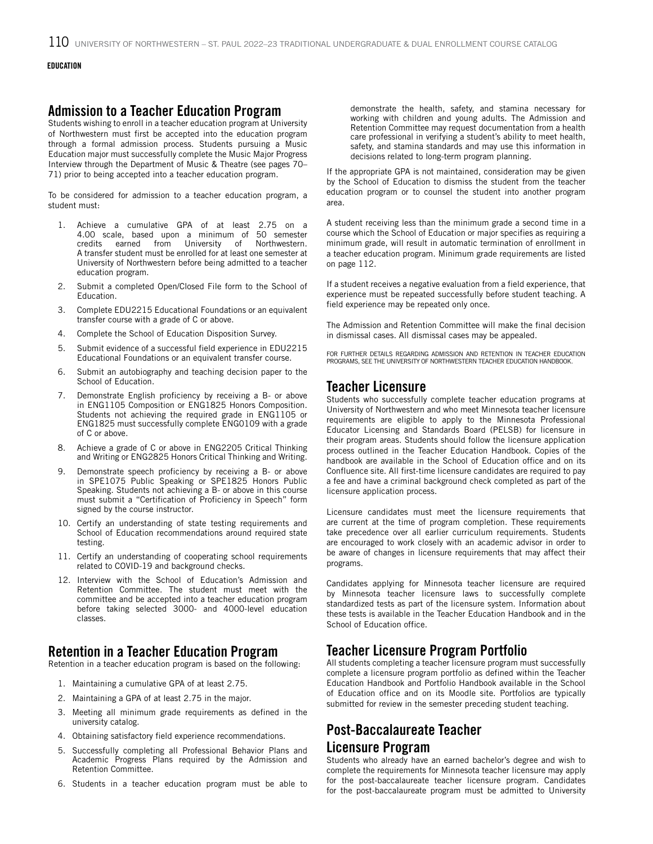### Admission to a Teacher Education Program

Students wishing to enroll in a teacher education program at University of Northwestern must first be accepted into the education program through a formal admission process. Students pursuing a Music Education major must successfully complete the Music Major Progress Interview through the Department of Music & Theatre (see pages 70– 71) prior to being accepted into a teacher education program.

To be considered for admission to a teacher education program, a student must:

- Achieve a cumulative GPA of at least 2.75 on a 4.00 scale, based upon a minimum of 50 semester credits earned from University of Northwestern. from University A transfer student must be enrolled for at least one semester at University of Northwestern before being admitted to a teacher education program.
- 2. Submit a completed Open/Closed File form to the School of Education.
- 3. Complete EDU2215 Educational Foundations or an equivalent transfer course with a grade of C or above.
- 4. Complete the School of Education Disposition Survey.
- 5. Submit evidence of a successful field experience in EDU2215 Educational Foundations or an equivalent transfer course.
- 6. Submit an autobiography and teaching decision paper to the School of Education.
- 7. Demonstrate English proficiency by receiving a B- or above in ENG1105 Composition or ENG1825 Honors Composition. Students not achieving the required grade in ENG1105 or ENG1825 must successfully complete ENG0109 with a grade of C or above.
- 8. Achieve a grade of C or above in ENG2205 Critical Thinking and Writing or ENG2825 Honors Critical Thinking and Writing.
- 9. Demonstrate speech proficiency by receiving a B- or above in SPE1075 Public Speaking or SPE1825 Honors Public Speaking. Students not achieving a B- or above in this course must submit a "Certification of Proficiency in Speech" form signed by the course instructor.
- 10. Certify an understanding of state testing requirements and School of Education recommendations around required state testing.
- 11. Certify an understanding of cooperating school requirements related to COVID-19 and background checks.
- 12. Interview with the School of Education's Admission and Retention Committee. The student must meet with the committee and be accepted into a teacher education program before taking selected 3000- and 4000-level education classes.

### Retention in a Teacher Education Program

Retention in a teacher education program is based on the following:

- 1. Maintaining a cumulative GPA of at least 2.75.
- 2. Maintaining a GPA of at least 2.75 in the major.
- 3. Meeting all minimum grade requirements as defined in the university catalog.
- 4. Obtaining satisfactory field experience recommendations.
- 5. Successfully completing all Professional Behavior Plans and Academic Progress Plans required by the Admission and Retention Committee.
- 6. Students in a teacher education program must be able to

demonstrate the health, safety, and stamina necessary for working with children and young adults. The Admission and Retention Committee may request documentation from a health care professional in verifying a student's ability to meet health, safety, and stamina standards and may use this information in decisions related to long-term program planning.

If the appropriate GPA is not maintained, consideration may be given by the School of Education to dismiss the student from the teacher education program or to counsel the student into another program area.

A student receiving less than the minimum grade a second time in a course which the School of Education or major specifies as requiring a minimum grade, will result in automatic termination of enrollment in a teacher education program. Minimum grade requirements are listed on page 112.

If a student receives a negative evaluation from a field experience, that experience must be repeated successfully before student teaching. A field experience may be repeated only once.

The Admission and Retention Committee will make the final decision in dismissal cases. All dismissal cases may be appealed.

FOR FURTHER DETAILS REGARDING ADMISSION AND RETENTION IN TEACHER EDUCATION PROGRAMS, SEE THE UNIVERSITY OF NORTHWESTERN TEACHER EDUCATION HANDBOOK.

### Teacher Licensure

Students who successfully complete teacher education programs at University of Northwestern and who meet Minnesota teacher licensure requirements are eligible to apply to the Minnesota Professional Educator Licensing and Standards Board (PELSB) for licensure in their program areas. Students should follow the licensure application process outlined in the Teacher Education Handbook. Copies of the handbook are available in the School of Education office and on its Confluence site. All first-time licensure candidates are required to pay a fee and have a criminal background check completed as part of the licensure application process.

Licensure candidates must meet the licensure requirements that are current at the time of program completion. These requirements take precedence over all earlier curriculum requirements. Students are encouraged to work closely with an academic advisor in order to be aware of changes in licensure requirements that may affect their programs.

Candidates applying for Minnesota teacher licensure are required by Minnesota teacher licensure laws to successfully complete standardized tests as part of the licensure system. Information about these tests is available in the Teacher Education Handbook and in the School of Education office.

### Teacher Licensure Program Portfolio

All students completing a teacher licensure program must successfully complete a licensure program portfolio as defined within the Teacher Education Handbook and Portfolio Handbook available in the School of Education office and on its Moodle site. Portfolios are typically submitted for review in the semester preceding student teaching.

## Post-Baccalaureate Teacher Licensure Program

Students who already have an earned bachelor's degree and wish to complete the requirements for Minnesota teacher licensure may apply for the post-baccalaureate teacher licensure program. Candidates for the post-baccalaureate program must be admitted to University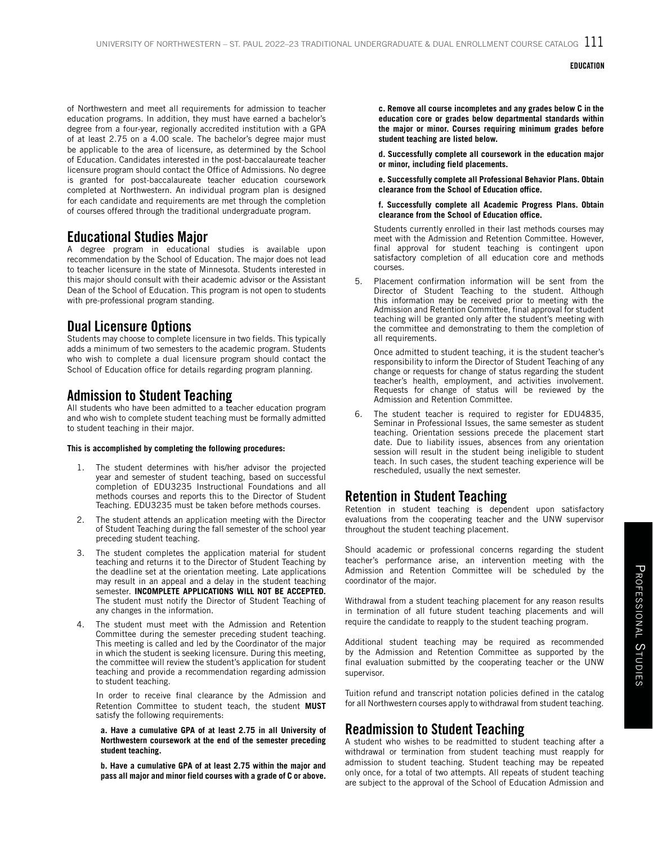of Northwestern and meet all requirements for admission to teacher education programs. In addition, they must have earned a bachelor's degree from a four-year, regionally accredited institution with a GPA of at least 2.75 on a 4.00 scale. The bachelor's degree major must be applicable to the area of licensure, as determined by the School of Education. Candidates interested in the post-baccalaureate teacher licensure program should contact the Office of Admissions. No degree is granted for post-baccalaureate teacher education coursework completed at Northwestern. An individual program plan is designed for each candidate and requirements are met through the completion of courses offered through the traditional undergraduate program.

## Educational Studies Major

A degree program in educational studies is available upon recommendation by the School of Education. The major does not lead to teacher licensure in the state of Minnesota. Students interested in this major should consult with their academic advisor or the Assistant Dean of the School of Education. This program is not open to students with pre-professional program standing.

## Dual Licensure Options

Students may choose to complete licensure in two fields. This typically adds a minimum of two semesters to the academic program. Students who wish to complete a dual licensure program should contact the School of Education office for details regarding program planning.

### Admission to Student Teaching

All students who have been admitted to a teacher education program and who wish to complete student teaching must be formally admitted to student teaching in their major.

### **This is accomplished by completing the following procedures:**

- 1. The student determines with his/her advisor the projected year and semester of student teaching, based on successful completion of EDU3235 Instructional Foundations and all methods courses and reports this to the Director of Student Teaching. EDU3235 must be taken before methods courses.
- 2. The student attends an application meeting with the Director of Student Teaching during the fall semester of the school year preceding student teaching.
- 3. The student completes the application material for student teaching and returns it to the Director of Student Teaching by the deadline set at the orientation meeting. Late applications may result in an appeal and a delay in the student teaching semester. **INCOMPLETE APPLICATIONS WILL NOT BE ACCEPTED.**  The student must notify the Director of Student Teaching of any changes in the information.
- 4. The student must meet with the Admission and Retention Committee during the semester preceding student teaching. This meeting is called and led by the Coordinator of the major in which the student is seeking licensure. During this meeting, the committee will review the student's application for student teaching and provide a recommendation regarding admission to student teaching.

In order to receive final clearance by the Admission and Retention Committee to student teach, the student **MUST** satisfy the following requirements:

### **a. Have a cumulative GPA of at least 2.75 in all University of Northwestern coursework at the end of the semester preceding student teaching.**

**b. Have a cumulative GPA of at least 2.75 within the major and pass all major and minor field courses with a grade of C or above.**

**c. Remove all course incompletes and any grades below C in the education core or grades below departmental standards within the major or minor. Courses requiring minimum grades before student teaching are listed below.**

**d. Successfully complete all coursework in the education major or minor, including field placements.**

**e. Successfully complete all Professional Behavior Plans. Obtain clearance from the School of Education office.**

### **f. Successfully complete all Academic Progress Plans. Obtain clearance from the School of Education office.**

Students currently enrolled in their last methods courses may meet with the Admission and Retention Committee. However, final approval for student teaching is contingent upon satisfactory completion of all education core and methods courses.

5. Placement confirmation information will be sent from the Director of Student Teaching to the student. Although this information may be received prior to meeting with the Admission and Retention Committee, final approval for student teaching will be granted only after the student's meeting with the committee and demonstrating to them the completion of all requirements.

Once admitted to student teaching, it is the student teacher's responsibility to inform the Director of Student Teaching of any change or requests for change of status regarding the student teacher's health, employment, and activities involvement. Requests for change of status will be reviewed by the Admission and Retention Committee.

6. The student teacher is required to register for EDU4835, Seminar in Professional Issues, the same semester as student teaching. Orientation sessions precede the placement start date. Due to liability issues, absences from any orientation session will result in the student being ineligible to student teach. In such cases, the student teaching experience will be rescheduled, usually the next semester.

### Retention in Student Teaching

Retention in student teaching is dependent upon satisfactory evaluations from the cooperating teacher and the UNW supervisor throughout the student teaching placement.

Should academic or professional concerns regarding the student teacher's performance arise, an intervention meeting with the Admission and Retention Committee will be scheduled by the coordinator of the major.

Withdrawal from a student teaching placement for any reason results in termination of all future student teaching placements and will require the candidate to reapply to the student teaching program.

Additional student teaching may be required as recommended by the Admission and Retention Committee as supported by the final evaluation submitted by the cooperating teacher or the UNW supervisor.

Tuition refund and transcript notation policies defined in the catalog for all Northwestern courses apply to withdrawal from student teaching.

## Readmission to Student Teaching

A student who wishes to be readmitted to student teaching after a withdrawal or termination from student teaching must reapply for admission to student teaching. Student teaching may be repeated only once, for a total of two attempts. All repeats of student teaching are subject to the approval of the School of Education Admission and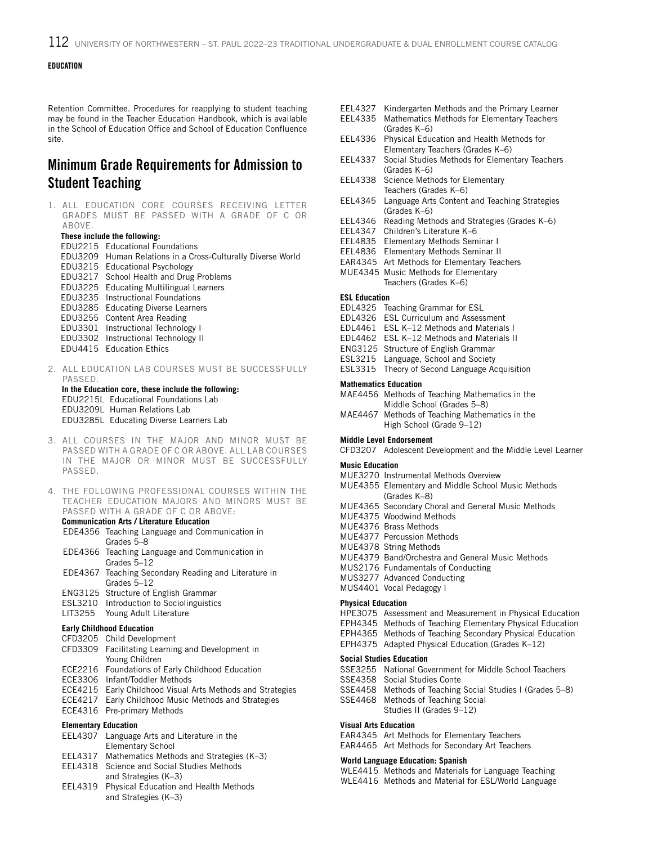Retention Committee. Procedures for reapplying to student teaching may be found in the Teacher Education Handbook, which is available in the School of Education Office and School of Education Confluence site.

## Minimum Grade Requirements for Admission to Student Teaching

1. ALL EDUCATION CORE COURSES RECEIVING LETTER GRADES MUST BE PASSED WITH A GRADE OF C OR ABOVE.

**These include the following:**

EDU2215 Educational Foundations

- EDU3209 Human Relations in a Cross-Culturally Diverse World
- EDU3215 Educational Psychology
- EDU3217 School Health and Drug Problems
- EDU3225 Educating Multilingual Learners
- EDU3235 Instructional Foundations
- EDU3285 Educating Diverse Learners
- EDU3255 Content Area Reading
- EDU3301 Instructional Technology I
- EDU3302 Instructional Technology II
- EDU4415 Education Ethics
- 2. ALL EDUCATION LAB COURSES MUST BE SUCCESSFULLY PASSED. **In the Education core, these include the following:**

### EDU2215L Educational Foundations Lab EDU3209L Human Relations Lab EDU3285L Educating Diverse Learners Lab

- 3. ALL COURSES IN THE MAJOR AND MINOR MUST BE PASSED WITH A GRADE OF C OR ABOVE. ALL LAB COURSES IN THE MAJOR OR MINOR MUST BE SUCCESSFULLY PASSED.
- 4. THE FOLLOWING PROFESSIONAL COURSES WITHIN THE TEACHER EDUCATION MAJORS AND MINORS MUST BE PASSED WITH A GRADE OF C OR ABOVE: **Communication Arts / Literature Education**
	- EDE4356 Teaching Language and Communication in Grades 5–8 EDE4366 Teaching Language and Communication in Grades 5–12 EDE4367 Teaching Secondary Reading and Literature in Grades 5–12
	- ENG3125 Structure of English Grammar ESL3210 Introduction to Sociolinguistics
	- LIT3255 Young Adult Literature

#### **Early Childhood Education**

- CFD3205 Child Development CFD3309 Facilitating Learning and Development in Young Children ECE2216 Foundations of Early Childhood Education ECE3306 Infant/Toddler Methods ECE4215 Early Childhood Visual Arts Methods and Strategies ECE4217 Early Childhood Music Methods and Strategies ECE4316 Pre-primary Methods **Elementary Education** EEL4307 Language Arts and Literature in the Elementary School
- EEL4317 Mathematics Methods and Strategies (K–3)
- EEL4318 Science and Social Studies Methods
- and Strategies (K–3)
- EEL4319 Physical Education and Health Methods and Strategies (K–3)
- EEL4327 Kindergarten Methods and the Primary Learner EEL4335 Mathematics Methods for Elementary Teachers
- (Grades K–6)
- EEL4336 Physical Education and Health Methods for Elementary Teachers (Grades K–6)
- EEL4337 Social Studies Methods for Elementary Teachers (Grades K–6)
- EEL4338 Science Methods for Elementary Teachers (Grades K–6)
- EEL4345 Language Arts Content and Teaching Strategies (Grades K–6)
- EEL4346 Reading Methods and Strategies (Grades K–6)
- EEL4347 Children's Literature K–6
- EEL4835 Elementary Methods Seminar I
- EEL4836 Elementary Methods Seminar II
- EAR4345 Art Methods for Elementary Teachers
- MUE4345 Music Methods for Elementary Teachers (Grades K–6)

### **ESL Education**

- EDL4325 Teaching Grammar for ESL
- EDL4326 ESL Curriculum and Assessment
- EDL4461 ESL K–12 Methods and Materials I
- EDL4462 ESL K–12 Methods and Materials II
- ENG3125 Structure of English Grammar
- ESL3215 Language, School and Society
- ESL3315 Theory of Second Language Acquisition

#### **Mathematics Education**

- MAE4456 Methods of Teaching Mathematics in the Middle School (Grades 5–8)
- MAE4467 Methods of Teaching Mathematics in the High School (Grade 9–12)

### **Middle Level Endorsement**

CFD3207 Adolescent Development and the Middle Level Learner

### **Music Education**

- MUE3270 Instrumental Methods Overview
- MUE4355 Elementary and Middle School Music Methods (Grades K–8)
- MUE4365 Secondary Choral and General Music Methods
- MUE4375 Woodwind Methods
- MUE4376 Brass Methods
- MUE4377 Percussion Methods
- MUE4378 String Methods
- MUE4379 Band/Orchestra and General Music Methods
- MUS2176 Fundamentals of Conducting
- MUS3277 Advanced Conducting
- MUS4401 Vocal Pedagogy I

### **Physical Education**

HPE3075 Assessment and Measurement in Physical Education EPH4345 Methods of Teaching Elementary Physical Education EPH4365 Methods of Teaching Secondary Physical Education

EPH4375 Adapted Physical Education (Grades K–12)

### **Social Studies Education**

- SSE3255 National Government for Middle School Teachers
- SSE4358 Social Studies Conte
- SSE4458 Methods of Teaching Social Studies I (Grades 5–8)
- SSE4468 Methods of Teaching Social
	- Studies II (Grades 9–12)

### **Visual Arts Education**

EAR4345 Art Methods for Elementary Teachers EAR4465 Art Methods for Secondary Art Teachers

### **World Language Education: Spanish**

WLE4415 Methods and Materials for Language Teaching WLE4416 Methods and Material for ESL/World Language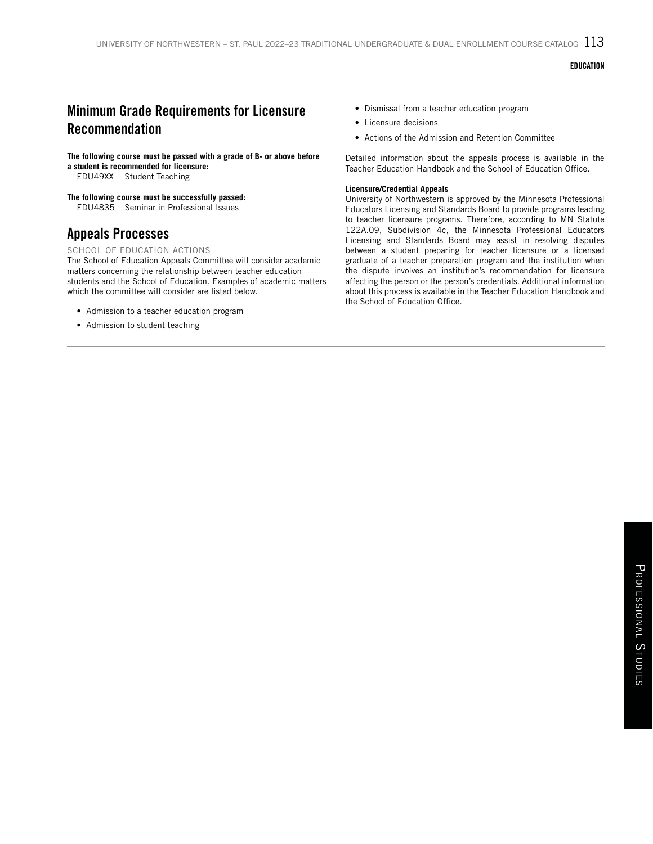# Minimum Grade Requirements for Licensure Recommendation

**The following course must be passed with a grade of B- or above before a student is recommended for licensure:**

EDU49XX Student Teaching

**The following course must be successfully passed:**

EDU4835 Seminar in Professional Issues

## Appeals Processes

### SCHOOL OF EDUCATION ACTIONS

The School of Education Appeals Committee will consider academic matters concerning the relationship between teacher education students and the School of Education. Examples of academic matters which the committee will consider are listed below.

- Admission to a teacher education program
- Admission to student teaching
- Dismissal from a teacher education program
- Licensure decisions
- Actions of the Admission and Retention Committee

Detailed information about the appeals process is available in the Teacher Education Handbook and the School of Education Office.

### **Licensure/Credential Appeals**

University of Northwestern is approved by the Minnesota Professional Educators Licensing and Standards Board to provide programs leading to teacher licensure programs. Therefore, according to MN Statute 122A.09, Subdivision 4c, the Minnesota Professional Educators Licensing and Standards Board may assist in resolving disputes between a student preparing for teacher licensure or a licensed graduate of a teacher preparation program and the institution when the dispute involves an institution's recommendation for licensure affecting the person or the person's credentials. Additional information about this process is available in the Teacher Education Handbook and the School of Education Office.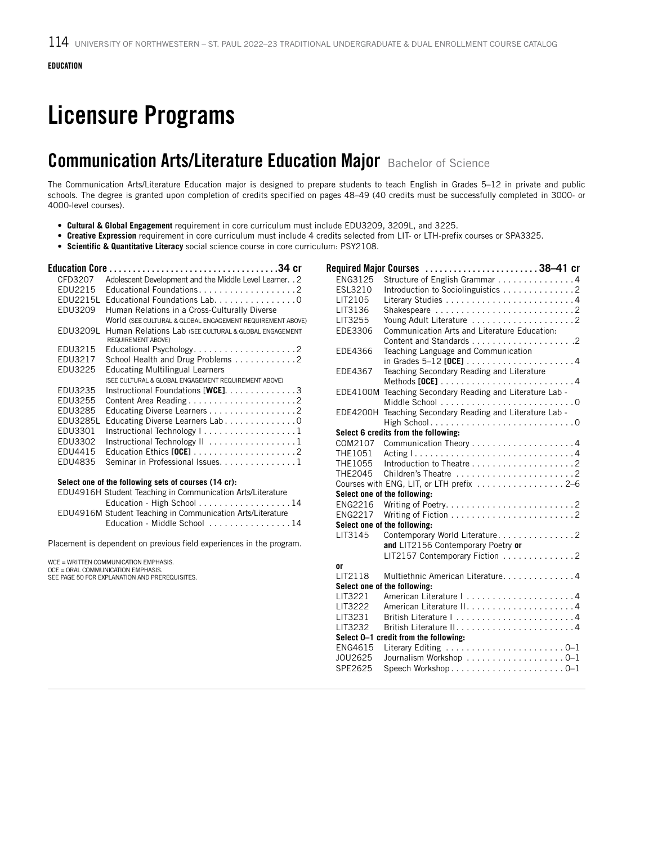# Licensure Programs

# Communication Arts/Literature Education Major Bachelor of Science

The Communication Arts/Literature Education major is designed to prepare students to teach English in Grades 5–12 in private and public schools. The degree is granted upon completion of credits specified on pages 48–49 (40 credits must be successfully completed in 3000- or 4000-level courses).

- **Cultural & Global Engagement** requirement in core curriculum must include EDU3209, 3209L, and 3225.
- **Creative Expression** requirement in core curriculum must include 4 credits selected from LIT- or LTH-prefix courses or SPA3325.
- **Scientific & Quantitative Literacy** social science course in core curriculum: PSY2108.

### Education Core. . **34 cr** CFD3207 Adolescent Development and the Middle Level Learner. . 2 EDU2215 Educational Foundations. . . . . . . . . . . . . . . . . 2 EDU2215L Educational Foundations Lab. . . . . . . . . . . . . . . 0<br>EDU3209 Human Relations in a Cross-Culturally Diverse Human Relations in a Cross-Culturally Diverse World (SEE CULTURAL & GLOBAL ENGAGEMENT REQUIREMENT ABOVE) EDU3209L Human Relations Lab (SEE CULTURAL & GLOBAL ENGAGEMENT REQUIREMENT ABOVE) EDU3215 Educational Psychology......................2 EDU3217 School Health and Drug Problems . . . . . . . . . . . 2 EDU3225 Educating Multilingual Learners (SEE CULTURAL & GLOBAL ENGAGEMENT REQUIREMENT ABOVE) EDU3235 Instructional Foundations [**WCE]**. . . . . . . . . . . . . . 3 EDU3255 Content Area Reading. . 2 EDU3285 Educating Diverse Learners . . . . . . . . . . . . . . . . 2 EDU3285L Educating Diverse Learners Lab. . . . . . . . . . . . . 0 EDU3301 Instructional Technology | . . . . . . . . . . . . . . . . 1 EDU3302 Instructional Technology II. . 1 Education Ethics [OCE]...................2 EDU4835 Seminar in Professional Issues. . . . . . . . . . . . . 1

#### **Select one of the following sets of courses (14 cr):**

| EDU4916H Student Teaching in Communication Arts/Literature |  |
|------------------------------------------------------------|--|
| Education - High School 14                                 |  |
| EDU4916M Student Teaching in Communication Arts/Literature |  |
| Education - Middle School 14                               |  |
|                                                            |  |

Placement is dependent on previous field experiences in the program.

WCE = WRITTEN COMMUNICATION EMPHASIS.

OCE = ORAL COMMUNICATION EMPHASIS.

SEE PAGE 50 FOR EXPLANATION AND PREREQUISITES.

### Required Major Courses . **38–41 cr** ENG3125 Structure of English Grammar . . . . . . . . . . . . . . 4 ESL3210 Introduction to Sociolinguistics . . . . . . . . . . . . . 2 LIT2105 Literary Studies. . 4 LIT3136 Shakespeare. . 2 LIT3255 Young Adult Literature . . . . . . . . . . . . . . . . . . 2 EDE3306 Communication Arts and Literature Education: Content and Standards. . . .2 EDE4366 Teaching Language and Communication in Grades 5–12 **[OCE]**. 4 EDE4367 Teaching Secondary Reading and Literature Methods **[OCE]**. 4 EDE4100M Teaching Secondary Reading and Literature Lab - Middle School. . 0 EDE4200H Teaching Secondary Reading and Literature Lab - High School. . 0 **Select 6 credits from the following:** COM2107 Communication Theory . . . . . . . . . . . . . . . . . . 4 THE1051 Acting I. . 4 THE1055 Introduction to Theatre . . . . . . . . . . . . . . . . . . 2 THE2045 Children's Theatre ............................2 Courses with ENG, LIT, or LTH prefix . . . . . . . . . . . . . . . . 2–6 **Select one of the following:** ENG2216 Writing of Poetry. . 2 ENG2217 Writing of Fiction. . 2 **Select one of the following:** LIT3145 Contemporary World Literature. . . . . . . . . . . . . . 2 **and** LIT2156 Contemporary Poetry **or** LIT2157 Contemporary Fiction . . . . . . . . . . . . . 2 **or** LIT2118 Multiethnic American Literature. . . . . . . . . . . . . 4 **Select one of the following:**<br>LIT3221 American Lite LIT3221 American Literature I. . 4 LIT3222 American Literature II. . 4 LIT3231 British Literature I. . 4 LIT3232 British Literature II. . 4 **Select 0–1 credit from the following:**  ENG4615 Literary Editing  $\ldots \ldots \ldots \ldots \ldots$ JOU2625 Journalism Workshop . . . . . . . . . . . . . . . . . . 0-1 SPE2625 Speech Workshop.............................0-1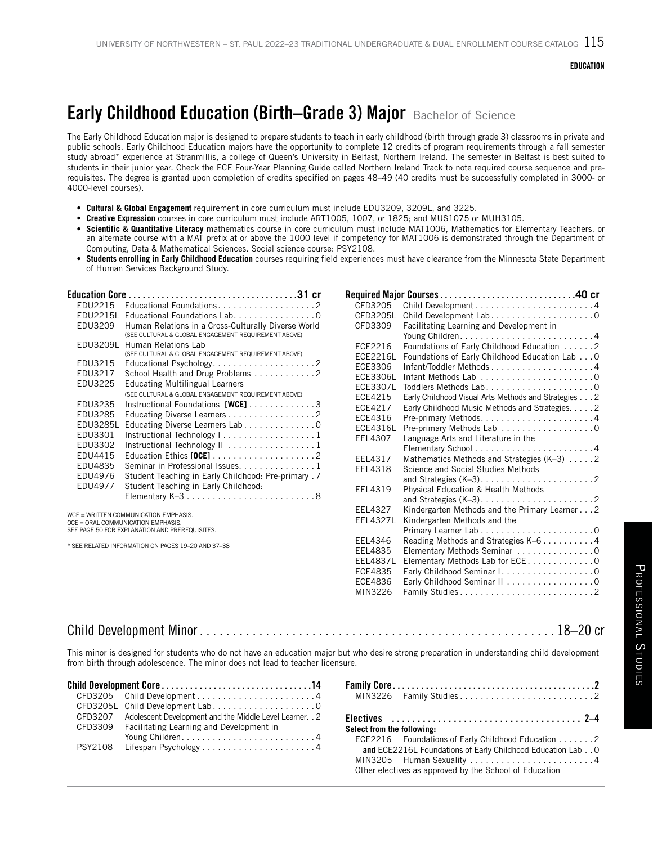# Early Childhood Education (Birth–Grade 3) Major Bachelor of Science

The Early Childhood Education major is designed to prepare students to teach in early childhood (birth through grade 3) classrooms in private and public schools. Early Childhood Education majors have the opportunity to complete 12 credits of program requirements through a fall semester study abroad\* experience at Stranmillis, a college of Queen's University in Belfast, Northern Ireland. The semester in Belfast is best suited to students in their junior year. Check the ECE Four-Year Planning Guide called Northern Ireland Track to note required course sequence and prerequisites. The degree is granted upon completion of credits specified on pages 48–49 (40 credits must be successfully completed in 3000- or 4000-level courses).

- **Cultural & Global Engagement** requirement in core curriculum must include EDU3209, 3209L, and 3225.
- **Creative Expression** courses in core curriculum must include ART1005, 1007, or 1825; and MUS1075 or MUH3105.
- **Scientific & Quantitative Literacy** mathematics course in core curriculum must include MAT1006, Mathematics for Elementary Teachers, or an alternate course with a MAT prefix at or above the 1000 level if competency for MAT1006 is demonstrated through the Department of Computing, Data & Mathematical Sciences. Social science course: PSY2108.
- **Students enrolling in Early Childhood Education** courses requiring field experiences must have clearance from the Minnesota State Department of Human Services Background Study.

| EDU2215         |                                                                                      |
|-----------------|--------------------------------------------------------------------------------------|
| EDU2215L        | Educational Foundations Lab0                                                         |
| EDU3209         | Human Relations in a Cross-Culturally Diverse World                                  |
|                 | (SEE CULTURAL & GLOBAL ENGAGEMENT REQUIREMENT ABOVE)                                 |
| EDU3209L        | Human Relations Lab                                                                  |
|                 | (SEE CULTURAL & GLOBAL ENGAGEMENT REQUIREMENT ABOVE)                                 |
| EDU3215         | Educational Psychology2                                                              |
| EDU3217         | School Health and Drug Problems 2                                                    |
| EDU3225         | <b>Educating Multilingual Learners</b>                                               |
|                 | (SEE CULTURAL & GLOBAL ENGAGEMENT REQUIREMENT ABOVE)                                 |
| EDU3235         | Instructional Foundations [WCE] 3                                                    |
| EDU3285         | Educating Diverse Learners 2                                                         |
| <b>EDU3285L</b> | Educating Diverse Learners Lab. 0                                                    |
| EDU3301         | Instructional Technology I1                                                          |
| EDU3302         | Instructional Technology II 1                                                        |
| EDU4415         | Education Ethics [OCE] $\ldots \ldots \ldots \ldots \ldots$                          |
| EDU4835         | Seminar in Professional Issues. 1                                                    |
| EDU4976         | Student Teaching in Early Childhood: Pre-primary . 7                                 |
| EDU4977         | Student Teaching in Early Childhood:                                                 |
|                 | Elementary $K=3$ 8                                                                   |
|                 | WCE = WRITTEN COMMUNICATION EMPHASIS.                                                |
|                 | OCE = ORAL COMMUNICATION EMPHASIS.<br>SEE PAGE 50 FOR EXPLANATION AND PREREQUISITES. |
|                 |                                                                                      |

\* SEE RELATED INFORMATION ON PAGES 19–20 AND 37–38

| CFD3205         |                                                      |  |
|-----------------|------------------------------------------------------|--|
| CFD3205L        |                                                      |  |
| CFD3309         | Facilitating Learning and Development in             |  |
|                 |                                                      |  |
| ECE2216         | Foundations of Early Childhood Education 2           |  |
| ECE2216L        | Foundations of Early Childhood Education Lab 0       |  |
| ECE3306         |                                                      |  |
| ECE3306L        |                                                      |  |
| <b>ECE3307L</b> | Toddlers Methods Lab0                                |  |
| ECE4215         | Early Childhood Visual Arts Methods and Strategies 2 |  |
| ECE4217         | Early Childhood Music Methods and Strategies. 2      |  |
| ECE4316         |                                                      |  |
| <b>ECE4316L</b> | Pre-primary Methods Lab 0                            |  |
| EEL4307         | Language Arts and Literature in the                  |  |
|                 |                                                      |  |
| FFI 4317        | Mathematics Methods and Strategies (K-3) 2           |  |
| FFI4318         | Science and Social Studies Methods                   |  |
|                 |                                                      |  |
| <b>EEL4319</b>  | Physical Education & Health Methods                  |  |
|                 |                                                      |  |
| <b>EEL4327</b>  | Kindergarten Methods and the Primary Learner 2       |  |
| <b>EEL4327L</b> | Kindergarten Methods and the                         |  |
|                 |                                                      |  |
| EEL4346         | Reading Methods and Strategies K-64                  |  |
| EEL4835         | Elementary Methods Seminar 0                         |  |
| <b>EEL4837L</b> | Elementary Methods Lab for ECE0                      |  |
| ECE4835         | Early Childhood Seminar I. 0                         |  |
| ECE4836         | Early Childhood Seminar II 0                         |  |
| MIN3226         | Family Studies2                                      |  |

# Child Development Minor . . . . . . . . . . . . . . . . . . . . . . . . . . . . . . . . . . . . . . . . . . . . . . . . . . . . . 18–20 cr

This minor is designed for students who do not have an education major but who desire strong preparation in understanding child development from birth through adolescence. The minor does not lead to teacher licensure.

| CFD3205L Child Development Lab0                                  | MIN3226 Family Studies2                                                                                           |
|------------------------------------------------------------------|-------------------------------------------------------------------------------------------------------------------|
| CFD3207 Adolescent Development and the Middle Level Learner. . 2 |                                                                                                                   |
| CFD3309 Facilitating Learning and Development in                 | Select from the following:                                                                                        |
| PSY2108 Lifespan Psychology4                                     | ECE2216 Foundations of Early Childhood Education 2<br>and ECE2216L Foundations of Early Childhood Education Lab 0 |
|                                                                  | MIN3205 Human Sexuality 4<br>Other electives as approved by the School of Education                               |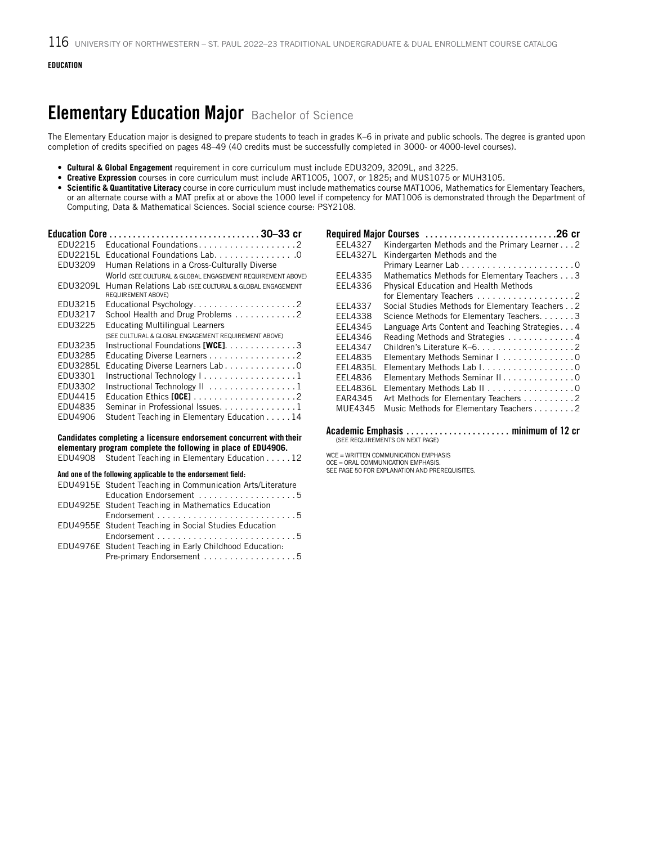# **Elementary Education Major** Bachelor of Science

The Elementary Education major is designed to prepare students to teach in grades K–6 in private and public schools. The degree is granted upon completion of credits specified on pages 48–49 (40 credits must be successfully completed in 3000- or 4000-level courses).

- **Cultural & Global Engagement** requirement in core curriculum must include EDU3209, 3209L, and 3225.
- **Creative Expression** courses in core curriculum must include ART1005, 1007, or 1825; and MUS1075 or MUH3105.
- **Scientific & Quantitative Literacy** course in core curriculum must include mathematics course MAT1006, Mathematics for Elementary Teachers, or an alternate course with a MAT prefix at or above the 1000 level if competency for MAT1006 is demonstrated through the Department of Computing, Data & Mathematical Sciences. Social science course: PSY2108.

| EDU2215  | Educational Foundations2                                                           |
|----------|------------------------------------------------------------------------------------|
| EDU2215L | Educational Foundations Lab. 0                                                     |
| EDU3209  | Human Relations in a Cross-Culturally Diverse                                      |
|          | World (SEE CULTURAL & GLOBAL ENGAGEMENT REQUIREMENT ABOVE)                         |
| EDU3209L | Human Relations Lab (SEE CULTURAL & GLOBAL ENGAGEMENT<br><b>REQUIREMENT ABOVE)</b> |
| EDU3215  | Educational Psychology2                                                            |
| EDU3217  | School Health and Drug Problems 2                                                  |
| EDU3225  | <b>Educating Multilingual Learners</b>                                             |
|          | (SEE CULTURAL & GLOBAL ENGAGEMENT REQUIREMENT ABOVE)                               |
| EDU3235  | Instructional Foundations [WCE]. 3                                                 |
| EDU3285  | Educating Diverse Learners 2                                                       |
| EDU3285L | Educating Diverse Learners Lab 0                                                   |
| EDU3301  |                                                                                    |
| EDU3302  | Instructional Technology II 1                                                      |
| EDU4415  |                                                                                    |
| EDU4835  | Seminar in Professional Issues1                                                    |
| EDU4906  | Student Teaching in Elementary Education 14                                        |

**Candidates completing a licensure endorsement concurrent with their elementary program complete the following in place of EDU4906.** EDU4908 Student Teaching in Elementary Education . . . . . 12

### And one of the following applicable to the endorsement field:

|  | EDU4915E Student Teaching in Communication Arts/Literature |
|--|------------------------------------------------------------|
|  | Education Endorsement 5                                    |
|  | EDU4925E Student Teaching in Mathematics Education         |
|  |                                                            |
|  | EDU4955E Student Teaching in Social Studies Education      |
|  |                                                            |
|  | EDU4976E Student Teaching in Early Childhood Education:    |
|  | Pre-primary Endorsement 5                                  |
|  |                                                            |

| <b>EEL4327</b>  | Kindergarten Methods and the Primary Learner 2   |
|-----------------|--------------------------------------------------|
| EEL4327L        | Kindergarten Methods and the                     |
|                 |                                                  |
| EEL4335         | Mathematics Methods for Elementary Teachers 3    |
| EEL4336         | Physical Education and Health Methods            |
|                 |                                                  |
| EEL4337         | Social Studies Methods for Elementary Teachers 2 |
| EEL4338         | Science Methods for Elementary Teachers. 3       |
| EEL4345         | Language Arts Content and Teaching Strategies4   |
| EEL4346         | Reading Methods and Strategies 4                 |
| EEL4347         |                                                  |
| EEL4835         | Elementary Methods Seminar I 0                   |
| <b>EEL4835L</b> | Elementary Methods Lab I. 0                      |
| EEL4836         | Elementary Methods Seminar II. 0                 |
| <b>EEL4836L</b> | Elementary Methods Lab II 0                      |
| EAR4345         | Art Methods for Elementary Teachers 2            |
| MUE4345         | Music Methods for Elementary Teachers 2          |

## Academic Emphasis. . . minimum of 12 cr (SEE REQUIREMENTS ON NEXT PAGE)

WCE = WRITTEN COMMUNICATION EMPHASIS OCE = ORAL COMMUNICATION EMPHASIS. SEE PAGE 50 FOR EXPLANATION AND PREREQUISITES.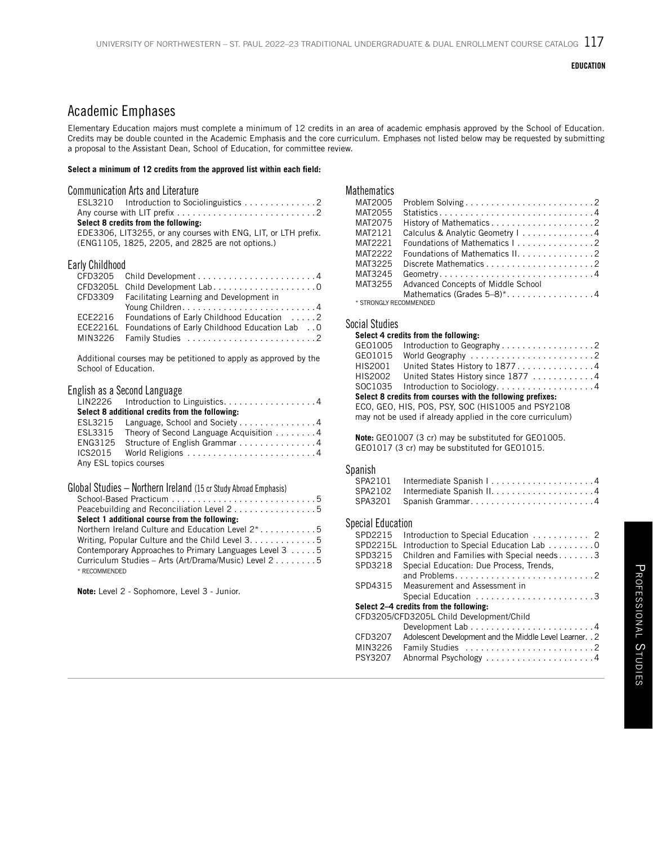## Academic Emphases

Elementary Education majors must complete a minimum of 12 credits in an area of academic emphasis approved by the School of Education. Credits may be double counted in the Academic Emphasis and the core curriculum. Emphases not listed below may be requested by submitting a proposal to the Assistant Dean, School of Education, for committee review.

### **Select a minimum of 12 credits from the approved list within each field:**

| ESL3210 Introduction to Sociolinguistics 2                                               |  |
|------------------------------------------------------------------------------------------|--|
| Any course with LIT prefix $\dots \dots \dots \dots \dots \dots \dots \dots \dots \dots$ |  |
| Select 8 credits from the following:                                                     |  |
| EDE3306, LIT3255, or any courses with ENG, LIT, or LTH prefix.                           |  |
| (ENG1105, 1825, 2205, and 2825 are not options.)                                         |  |

### Early Childhood

| CFD3205L Child Development Lab0                         |  |
|---------------------------------------------------------|--|
| CFD3309 Facilitating Learning and Development in        |  |
|                                                         |  |
| ECE2216 Foundations of Early Childhood Education 2      |  |
| ECE2216L Foundations of Early Childhood Education Lab 0 |  |
|                                                         |  |

Additional courses may be petitioned to apply as approved by the School of Education.

### English as a Second Language

| LIN2226 Introduction to Linguistics4            |
|-------------------------------------------------|
| Select 8 additional credits from the following: |
| ESL3215 Language, School and Society 4          |
| ESL3315 Theory of Second Language Acquisition 4 |
| ENG3125 Structure of English Grammar 4          |
| ICS2015 World Religions 4                       |
| Any ESL topics courses                          |

### Global Studies – Northern Ireland (15 cr Study Abroad Emphasis)

| Peacebuilding and Reconciliation Level 25                                       |
|---------------------------------------------------------------------------------|
| Select 1 additional course from the following:                                  |
| Northern Ireland Culture and Education Level $2^*$ 5                            |
| Writing, Popular Culture and the Child Level $3. \ldots \ldots \ldots \ldots 5$ |
| Contemporary Approaches to Primary Languages Level 3 5                          |
| Curriculum Studies – Arts (Art/Drama/Music) Level $2, \ldots, \ldots, 5$        |
| * RECOMMENDED                                                                   |

**Note:** Level 2 - Sophomore, Level 3 - Junior.

### **Mathematics**

| MAT2005                |                                    |
|------------------------|------------------------------------|
| MAT2055                | Statistics4                        |
| MAT2075                |                                    |
| MAT2121                | Calculus & Analytic Geometry I 4   |
| MAT2221                | Foundations of Mathematics   2     |
| MAT2222                | Foundations of Mathematics II. 2   |
| MAT3225                |                                    |
| MAT3245                |                                    |
| MAT3255                | Advanced Concepts of Middle School |
|                        | Mathematics (Grades $5-8$ )*4      |
| * STRONGLY RECOMMENDED |                                    |

### Social Studies

### **Select 4 credits from the following:**

| HIS2001 United States History to 18774                     |  |
|------------------------------------------------------------|--|
| HIS2002 United States History since 1877 4                 |  |
| $SOC1035$ Introduction to Sociology4                       |  |
| Select 8 credits from courses with the following prefixes: |  |
| ECO, GEO, HIS, POS, PSY, SOC (HIS1005 and PSY2108          |  |
|                                                            |  |

may not be used if already applied in the core curriculum)

**Note:** GEO1007 (3 cr) may be substituted for GEO1005. GEO1017 (3 cr) may be substituted for GEO1015.

### Spanish

|                  | SPA2101 Intermediate Spanish I4 |  |
|------------------|---------------------------------|--|
|                  | SPA3201 Spanish Grammar4        |  |
| acial Education. |                                 |  |

### Special Education<br>SPD2215 Int Introduction to Special Education . . . . . . . . . . 2 SPD2215L Introduction to Special Education Lab.......... 0 SPD3215 Children and Families with Special needs. . . . . . . 3 SPD3218 Special Education: Due Process, Trends, and Problems. . 2 Measurement and Assessment in Special Education. . 3 **Select 2–4 credits from the following:** CFD3205/CFD3205L Child Development/Child Development Lab. . 4 CFD3207 Adolescent Development and the Middle Level Learner. . 2 MIN3226 Family Studies . 2 PSY3207 Abnormal Psychology. . 4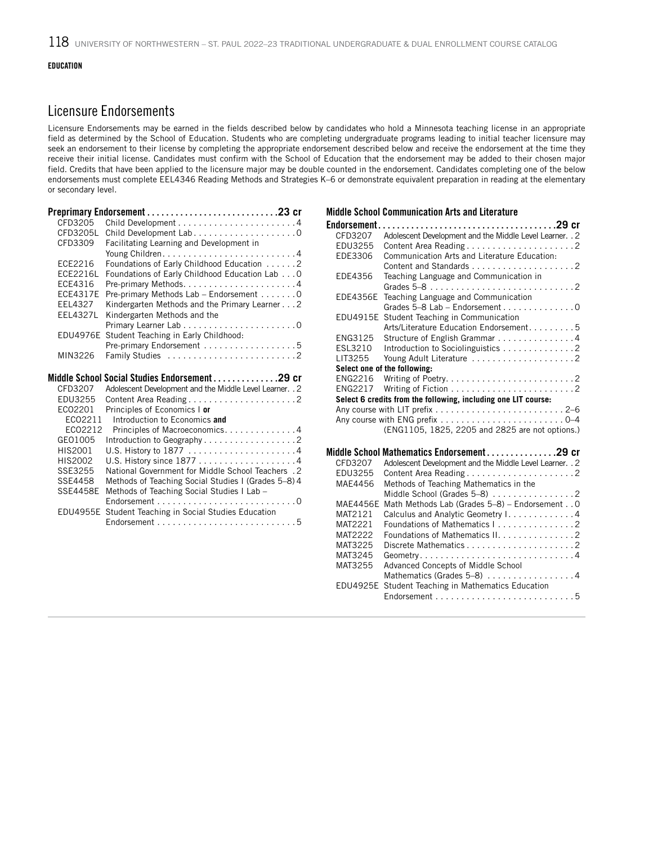## Licensure Endorsements

Licensure Endorsements may be earned in the fields described below by candidates who hold a Minnesota teaching license in an appropriate field as determined by the School of Education. Students who are completing undergraduate programs leading to initial teacher licensure may seek an endorsement to their license by completing the appropriate endorsement described below and receive the endorsement at the time they receive their initial license. Candidates must confirm with the School of Education that the endorsement may be added to their chosen major field. Credits that have been applied to the licensure major may be double counted in the endorsement. Candidates completing one of the below endorsements must complete EEL4346 Reading Methods and Strategies K–6 or demonstrate equivalent preparation in reading at the elementary or secondary level.

| CFD3205         |                                                          |
|-----------------|----------------------------------------------------------|
| CFD3205L        | Child Development Lab0                                   |
| CFD3309         | Facilitating Learning and Development in                 |
|                 |                                                          |
| ECE2216         | Foundations of Early Childhood Education 2               |
| ECE2216L        | Foundations of Early Childhood Education Lab 0           |
| ECE4316         |                                                          |
| <b>ECE4317E</b> | Pre-primary Methods Lab - Endorsement 0                  |
| EEL4327         | Kindergarten Methods and the Primary Learner 2           |
| <b>EEL4327L</b> | Kindergarten Methods and the                             |
|                 |                                                          |
| EDU4976E        | Student Teaching in Early Childhood:                     |
|                 | Pre-primary Endorsement 5                                |
| MIN3226         | Family Studies 2                                         |
|                 |                                                          |
|                 | Middle School Social Studies Endorsement 29 cr           |
| CFD3207         | Adolescent Development and the Middle Level Learner. . 2 |
| EDU3255         | Content Area Reading2                                    |
| EC02201         | Principles of Economics I or                             |
| EC02211         | Introduction to Economics and                            |
| EC02212         | Principles of Macroeconomics4                            |
| GE01005         |                                                          |

|         | $EUUZZIL$ Finiciples of Macroeconomics4               |
|---------|-------------------------------------------------------|
| GE01005 |                                                       |
| HIS2001 | U.S. History to 1877 4                                |
| HIS2002 |                                                       |
| SSE3255 | National Government for Middle School Teachers . 2    |
| SSE4458 | Methods of Teaching Social Studies I (Grades 5–8) 4   |
|         | SSE4458E Methods of Teaching Social Studies I Lab -   |
|         |                                                       |
|         | EDU4955E Student Teaching in Social Studies Education |
|         |                                                       |

### Middle School Communication Arts and Literature

| CFD3207         | Adolescent Development and the Middle Level Learner. . 2                                 |
|-----------------|------------------------------------------------------------------------------------------|
| EDU3255         | Content Area Reading2                                                                    |
| EDE3306         | Communication Arts and Literature Education:                                             |
|                 |                                                                                          |
| EDE4356         | Teaching Language and Communication in                                                   |
|                 |                                                                                          |
| EDE4356E        | Teaching Language and Communication                                                      |
|                 | Grades $5-8$ Lab - Endorsement 0                                                         |
| EDU4915E        | Student Teaching in Communication                                                        |
|                 | Arts/Literature Education Endorsement. 5                                                 |
| ENG3125         | Structure of English Grammar 4                                                           |
| ESL3210         | Introduction to Sociolinguistics 2                                                       |
| LIT3255         |                                                                                          |
|                 | Select one of the following:                                                             |
|                 |                                                                                          |
|                 |                                                                                          |
|                 | Select 6 credits from the following, including one LIT course:                           |
|                 |                                                                                          |
|                 | Any course with ENG prefix $\ldots \ldots \ldots \ldots \ldots \ldots \ldots \ldots 0-4$ |
|                 | (ENG1105, 1825, 2205 and 2825 are not options.)                                          |
|                 |                                                                                          |
|                 | Middle School Mathematics Endorsement29 cr                                               |
| CFD3207         | Adolescent Development and the Middle Level Learner. . 2                                 |
| EDU3255         | Content Area Reading2                                                                    |
| MAE4456         | Methods of Teaching Mathematics in the                                                   |
| <b>MAE4456E</b> | Math Methods Lab (Grades 5-8) - Endorsement 0                                            |
| MAT2121         | Calculus and Analytic Geometry I. 4                                                      |
| MAT2221         | Foundations of Mathematics   2                                                           |
| MAT2222         | Foundations of Mathematics II. 2                                                         |
| MAT3225         |                                                                                          |
| MAT3245         |                                                                                          |
|                 |                                                                                          |

MAT3255 Advanced Concepts of Middle School

EDU4925E Student Teaching in Mathematics Education

Mathematics (Grades 5–8) . . . . . . . . . . . . . . . . 4

Endorsement. . 5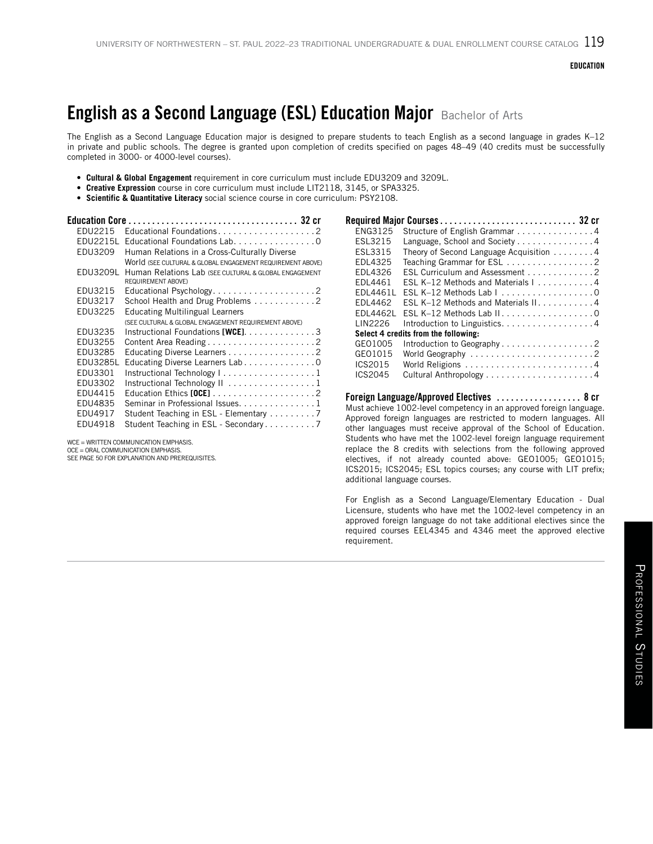# English as a Second Language (ESL) Education Major Bachelor of Arts

The English as a Second Language Education major is designed to prepare students to teach English as a second language in grades K–12 in private and public schools. The degree is granted upon completion of credits specified on pages 48–49 (40 credits must be successfully completed in 3000- or 4000-level courses).

- **Cultural & Global Engagement** requirement in core curriculum must include EDU3209 and 3209L.
- **Creative Expression** course in core curriculum must include LIT2118, 3145, or SPA3325.
- **Scientific & Quantitative Literacy** social science course in core curriculum: PSY2108.

| EDU2215  | Educational Foundations2                                                           |
|----------|------------------------------------------------------------------------------------|
| EDU2215L | Educational Foundations Lab. 0                                                     |
| EDU3209  | Human Relations in a Cross-Culturally Diverse                                      |
|          | World (SEE CULTURAL & GLOBAL ENGAGEMENT REQUIREMENT ABOVE)                         |
| EDU3209L | Human Relations Lab (SEE CULTURAL & GLOBAL ENGAGEMENT<br><b>REQUIREMENT ABOVE)</b> |
| EDU3215  |                                                                                    |
| EDU3217  | School Health and Drug Problems 2                                                  |
| EDU3225  | <b>Educating Multilingual Learners</b>                                             |
|          | (SEE CULTURAL & GLOBAL ENGAGEMENT REQUIREMENT ABOVE)                               |
| EDU3235  | Instructional Foundations [WCE]. 3                                                 |
| EDU3255  | Content Area Reading2                                                              |
| EDU3285  | Educating Diverse Learners 2                                                       |
| EDU3285L | Educating Diverse Learners Lab 0                                                   |
| EDU3301  | Instructional Technology   1                                                       |
| EDU3302  | Instructional Technology II 1                                                      |
| EDU4415  |                                                                                    |
| EDU4835  | Seminar in Professional Issues. 1                                                  |
| EDU4917  | Student Teaching in ESL - Elementary 7                                             |
| EDU4918  | Student Teaching in ESL - Secondary7                                               |

WCE = WRITTEN COMMUNICATION EMPHASIS.

OCE = ORAL COMMUNICATION EMPHASIS.

SEE PAGE 50 FOR EXPLANATION AND PREREQUISITES.

| ENG3125         | Structure of English Grammar 4                        |  |
|-----------------|-------------------------------------------------------|--|
| ESL3215         | Language, School and Society 4                        |  |
| <b>ESL3315</b>  | Theory of Second Language Acquisition 4               |  |
| EDL4325         | Teaching Grammar for ESL 2                            |  |
| <b>FDI 4326</b> | ESL Curriculum and Assessment 2                       |  |
| EDL4461         | ESL K-12 Methods and Materials $1, \ldots, \ldots, 4$ |  |
| EDL4461L        | ESL K-12 Methods Lab $\vert$ 0                        |  |
| FDI 4462        | ESL K-12 Methods and Materials II. $\ldots$ ,   4     |  |
| FDI 44621       |                                                       |  |
| LIN2226         | Introduction to Linguistics. 4                        |  |
|                 | Select 4 credits from the following:                  |  |
| GE01005         |                                                       |  |
| GE01015         |                                                       |  |
| ICS2015         | World Religions 4                                     |  |
| ICS2045         |                                                       |  |
|                 |                                                       |  |

Foreign Language/Approved Electives ................... 8 cr Must achieve 1002-level competency in an approved foreign language. Approved foreign languages are restricted to modern languages. All other languages must receive approval of the School of Education. Students who have met the 1002-level foreign language requirement replace the 8 credits with selections from the following approved electives, if not already counted above: GEO1005; GEO1015; ICS2015; ICS2045; ESL topics courses; any course with LIT prefix; additional language courses.

For English as a Second Language/Elementary Education - Dual Licensure, students who have met the 1002-level competency in an approved foreign language do not take additional electives since the required courses EEL4345 and 4346 meet the approved elective requirement.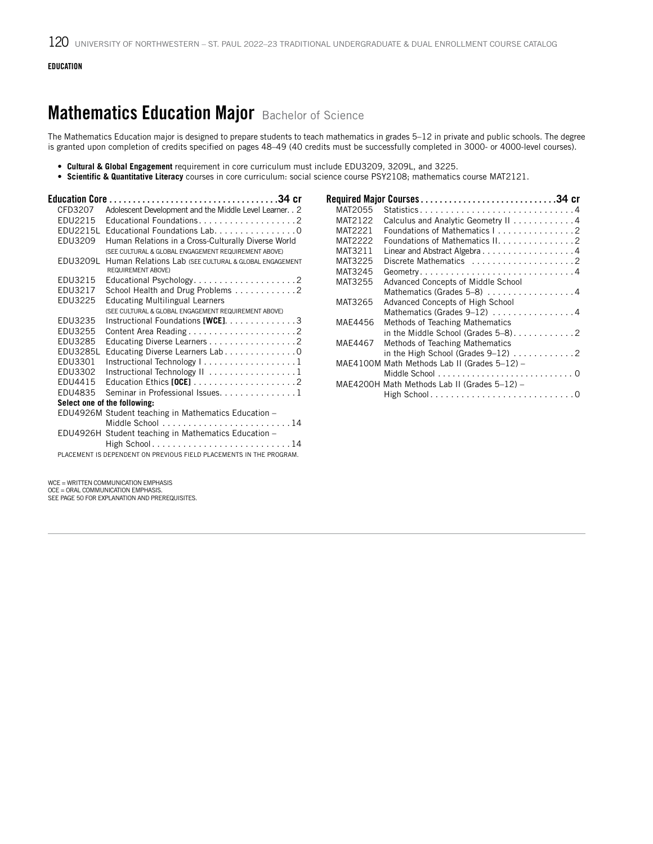# Mathematics Education Major Bachelor of Science

The Mathematics Education major is designed to prepare students to teach mathematics in grades 5–12 in private and public schools. The degree is granted upon completion of credits specified on pages 48–49 (40 credits must be successfully completed in 3000- or 4000-level courses).

- **Cultural & Global Engagement** requirement in core curriculum must include EDU3209, 3209L, and 3225.
- **Scientific & Quantitative Literacy** courses in core curriculum: social science course PSY2108; mathematics course MAT2121.

| CFD3207         | Adolescent Development and the Middle Level Learner. . 2                    |
|-----------------|-----------------------------------------------------------------------------|
| <b>FDU2215</b>  |                                                                             |
| FDU2215L        | Educational Foundations Lab0                                                |
| EDU3209         | Human Relations in a Cross-Culturally Diverse World                         |
|                 | (SEE CULTURAL & GLOBAL ENGAGEMENT REQUIREMENT ABOVE)                        |
| EDU3209L        | Human Relations Lab (SEE CULTURAL & GLOBAL ENGAGEMENT<br>REQUIREMENT ABOVE) |
| EDU3215         | Educational Psychology2                                                     |
| EDU3217         | School Health and Drug Problems 2                                           |
| EDU3225         | <b>Educating Multilingual Learners</b>                                      |
|                 | (SEE CULTURAL & GLOBAL ENGAGEMENT REQUIREMENT ABOVE)                        |
| EDU3235         | Instructional Foundations [WCE]. $\ldots \ldots \ldots \ldots$ 3            |
| EDU3255         | Content Area Reading2                                                       |
| EDU3285         | Educating Diverse Learners 2                                                |
| <b>EDU3285L</b> | Educating Diverse Learners Lab 0                                            |
| EDU3301         | Instructional Technology   1                                                |
| EDU3302         | Instructional Technology $1, \ldots, \ldots, \ldots, \ldots, 1$             |
| <b>FDU4415</b>  |                                                                             |
| EDU4835         | Seminar in Professional Issues. 1                                           |
|                 | Select one of the following:                                                |
|                 | EDU4926M Student teaching in Mathematics Education -                        |
|                 |                                                                             |
|                 | EDU4926H Student teaching in Mathematics Education -                        |
|                 |                                                                             |
|                 | PLACEMENT IS DEPENDENT ON PREVIOUS FIELD PLACEMENTS IN THE PROGRAM.         |

| MAT2055 | Statistics4                                                             |  |
|---------|-------------------------------------------------------------------------|--|
| MAT2122 | Calculus and Analytic Geometry II 4                                     |  |
| MAT2221 | Foundations of Mathematics I2                                           |  |
| MAT2222 | Foundations of Mathematics II. 2                                        |  |
| MAT3211 | Linear and Abstract Algebra 4                                           |  |
| MAT3225 | Discrete Mathematics 2                                                  |  |
| MAT3245 |                                                                         |  |
| MAT3255 | Advanced Concepts of Middle School                                      |  |
|         | Mathematics (Grades 5–8) 4                                              |  |
| MAT3265 | Advanced Concepts of High School                                        |  |
|         | Mathematics (Grades $9-12$ ) 4                                          |  |
| MAE4456 | Methods of Teaching Mathematics                                         |  |
|         | in the Middle School (Grades $5-8$ )2                                   |  |
| MAE4467 | Methods of Teaching Mathematics                                         |  |
|         |                                                                         |  |
|         | MAE4100M Math Methods Lab II (Grades 5-12) -                            |  |
|         | Middle School $\ldots \ldots \ldots \ldots \ldots \ldots \ldots \ldots$ |  |
|         | MAE4200H Math Methods Lab II (Grades 5–12) –                            |  |
|         | High School0                                                            |  |

WCE = WRITTEN COMMUNICATION EMPHASIS OCE = ORAL COMMUNICATION EMPHASIS.

SEE PAGE 50 FOR EXPLANATION AND PREREQUISITES.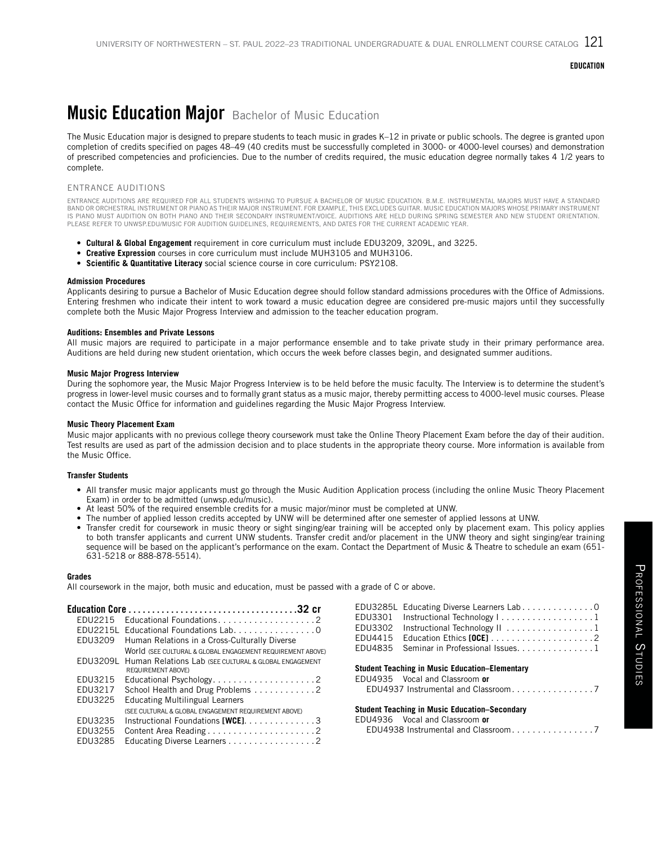# **Music Education Major** Bachelor of Music Education

The Music Education major is designed to prepare students to teach music in grades K–12 in private or public schools. The degree is granted upon completion of credits specified on pages 48–49 (40 credits must be successfully completed in 3000- or 4000-level courses) and demonstration of prescribed competencies and proficiencies. Due to the number of credits required, the music education degree normally takes 4 1/2 years to complete.

### ENTRANCE AUDITIONS

ENTRANCE AUDITIONS ARE REQUIRED FOR ALL STUDENTS WISHING TO PURSUE A BACHELOR OF MUSIC EDUCATION. B.M.E. INSTRUMENTAL MAJORS MUST HAVE A STANDARD BAND OR ORCHESTRAL INSTRUMENT OR PIANO AS THEIR MAJOR INSTRUMENT. FOR EXAMPLE, THIS EXCLUDES GUITAR. MUSIC EDUCATION MAJORS WHOSE PRIMARY INSTRUMENT IS PIANO MUST AUDITION ON BOTH PIANO AND THEIR SECONDARY INSTRUMENT/VOICE. AUDITIONS ARE HELD DURING SPRING SEMESTER AND NEW STUDENT ORIENTATION. PLEASE REFER TO UNWSP.EDU/MUSIC FOR AUDITION GUIDELINES, REQUIREMENTS, AND DATES FOR THE CURRENT ACADEMIC YEAR.

- **Cultural & Global Engagement** requirement in core curriculum must include EDU3209, 3209L, and 3225.
- **Creative Expression** courses in core curriculum must include MUH3105 and MUH3106.
- **Scientific & Quantitative Literacy** social science course in core curriculum: PSY2108.

### **Admission Procedures**

Applicants desiring to pursue a Bachelor of Music Education degree should follow standard admissions procedures with the Office of Admissions. Entering freshmen who indicate their intent to work toward a music education degree are considered pre-music majors until they successfully complete both the Music Major Progress Interview and admission to the teacher education program.

#### **Auditions: Ensembles and Private Lessons**

All music majors are required to participate in a major performance ensemble and to take private study in their primary performance area. Auditions are held during new student orientation, which occurs the week before classes begin, and designated summer auditions.

### **Music Major Progress Interview**

During the sophomore year, the Music Major Progress Interview is to be held before the music faculty. The Interview is to determine the student's progress in lower-level music courses and to formally grant status as a music major, thereby permitting access to 4000-level music courses. Please contact the Music Office for information and guidelines regarding the Music Major Progress Interview.

### **Music Theory Placement Exam**

Music major applicants with no previous college theory coursework must take the Online Theory Placement Exam before the day of their audition. Test results are used as part of the admission decision and to place students in the appropriate theory course. More information is available from the Music Office.

#### **Transfer Students**

- All transfer music major applicants must go through the Music Audition Application process (including the online Music Theory Placement Exam) in order to be admitted (unwsp.edu/music).
- At least 50% of the required ensemble credits for a music major/minor must be completed at UNW.
- The number of applied lesson credits accepted by UNW will be determined after one semester of applied lessons at UNW.
- Transfer credit for coursework in music theory or sight singing/ear training will be accepted only by placement exam. This policy applies to both transfer applicants and current UNW students. Transfer credit and/or placement in the UNW theory and sight singing/ear training sequence will be based on the applicant's performance on the exam. Contact the Department of Music & Theatre to schedule an exam (651- 631-5218 or 888-878-5514).

#### **Grades**

All coursework in the major, both music and education, must be passed with a grade of C or above.

| <b>FDU2215</b>  | Educational Foundations2                                                           |
|-----------------|------------------------------------------------------------------------------------|
| EDU2215L        | Educational Foundations Lab. 0                                                     |
| EDU3209         | Human Relations in a Cross-Culturally Diverse                                      |
|                 | World (SEE CULTURAL & GLOBAL ENGAGEMENT REQUIREMENT ABOVE)                         |
| <b>FDU3209L</b> | Human Relations Lab (SEE CULTURAL & GLOBAL ENGAGEMENT<br><b>REQUIREMENT ABOVE)</b> |
| EDU3215         |                                                                                    |
| EDU3217         | School Health and Drug Problems 2                                                  |
| EDU3225         | <b>Educating Multilingual Learners</b>                                             |
|                 | (SEE CULTURAL & GLOBAL ENGAGEMENT REQUIREMENT ABOVE)                               |
| EDU3235         | Instructional Foundations [WCE]. $\ldots \ldots \ldots \ldots$ 3                   |
| EDU3255         |                                                                                    |
| EDU3285         | Educating Diverse Learners 2                                                       |

| EDU3285L Educating Diverse Learners Lab0                           |
|--------------------------------------------------------------------|
| EDU3301 Instructional Technology $1, 1, 1, 1, 1, 1, 1, 1, 1, 1, 1$ |
| EDU3302 Instructional Technology II 1                              |
|                                                                    |
| Seminar in Professional Issues1                                    |
|                                                                    |
|                                                                    |
|                                                                    |
|                                                                    |

### **Student Teaching in Music Education–Secondary**

| EDU4936 Vocal and Classroom or |
|--------------------------------|
|                                |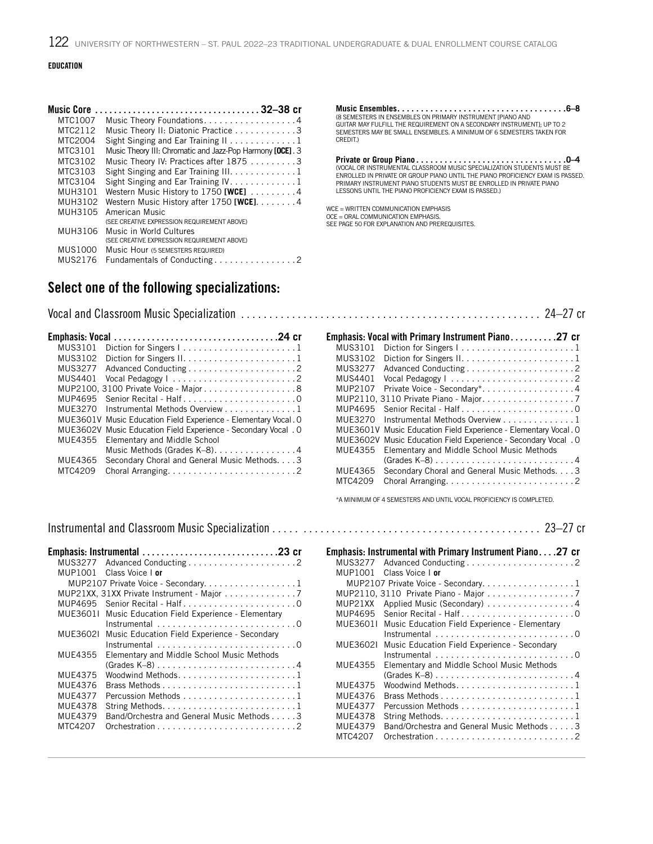| MTC1007        | Music Theory Foundations. 4                               |
|----------------|-----------------------------------------------------------|
| MTC2112        | Music Theory II: Diatonic Practice 3                      |
| MTC2004        | Sight Singing and Ear Training $11, 1, 1, 1, 1, 1, 1, 1$  |
| MTC3101        | Music Theory III: Chromatic and Jazz-Pop Harmony [OCE]. 3 |
| MTC3102        | Music Theory IV: Practices after 1875 3                   |
| MTC3103        | Sight Singing and Ear Training III. 1                     |
| MTC3104        | Sight Singing and Ear Training IV. 1                      |
| MUH3101        | Western Music History to 1750 [WCE] $\dots \dots$         |
| MUH3102        | Western Music History after $1750$ [WCE]. 4               |
| MUH3105        | American Music                                            |
|                | (SEE CREATIVE EXPRESSION REQUIREMENT ABOVE)               |
| MUH3106        | Music in World Cultures                                   |
|                | (SEE CREATIVE EXPRESSION REQUIREMENT ABOVE)               |
| <b>MUS1000</b> | Music Hour (5 SEMESTERS REQUIRED)                         |
| MUS2176        | Fundamentals of Conducting2                               |

**Music Ensembles. . 6–8** (8 SEMESTERS IN ENSEMBLES ON PRIMARY INSTRUMENT [PIANO AND GUITAR MAY FULFILL THE REQUIREMENT ON A SECONDARY INSTRUMENT]; UP TO 2 SEMESTERS MAY BE SMALL ENSEMBLES. A MINIMUM OF 6 SEMESTERS TAKEN FOR CREDIT)

**Private or Group Piano. . 0–4** (VOCAL OR INSTRUMENTAL CLASSROOM MUSIC SPECIALIZATION STUDENTS MUST BE ENROLLED IN PRIVATE OR GROUP PIANO UNTIL THE PIANO PROFICIENCY EXAM IS PASSED. PRIMARY INSTRUMENT PIANO STUDENTS MUST BE ENROLLED IN PRIVATE PIANO LESSONS UNTIL THE PIANO PROFICIENCY EXAM IS PASSED.)

WCE = WRITTEN COMMUNICATION EMPHASIS OCE = ORAL COMMUNICATION EMPHASIS. SEE PAGE 50 FOR EXPLANATION AND PREREQUISITES.

## Select one of the following specializations:

Vocal and Classroom Music Specialization . . . . . . . . . . . . . . . . . . . . . . . . . . . . . . . . . . . . . . . . . . . . . . . . . . . . . 24–27 cr

| MUS3101        | Diction for Singers $1, \ldots, \ldots, \ldots, \ldots, \ldots, 1$ |  |
|----------------|--------------------------------------------------------------------|--|
| MUS3102        |                                                                    |  |
| <b>MUS3277</b> |                                                                    |  |
| MUS4401        | Vocal Pedagogy   2                                                 |  |
|                | MUP2100, 3100 Private Voice - Major 8                              |  |
| MUP4695        | Senior Recital - Half0                                             |  |
| MUF3270        | Instrumental Methods Overview 1                                    |  |
|                | MUE3601V Music Education Field Experience - Elementary Vocal. O    |  |
|                | MUE3602V Music Education Field Experience - Secondary Vocal . O    |  |
| MUE4355        | Elementary and Middle School                                       |  |
|                | Music Methods (Grades K-8). 4                                      |  |
| MUE4365        | Secondary Choral and General Music Methods. 3                      |  |
| MTC4209        |                                                                    |  |
|                |                                                                    |  |

Instrumental and Classroom Music Specialization . . . . . . . . . . . . . . . . . . . . . . . . . . . . . . . . . . . . . . . . . . . . . . . 23–27 cr

| MUP1001  | Class Voice I or                              |
|----------|-----------------------------------------------|
|          | MUP2107 Private Voice - Secondary1            |
|          | MUP21XX, 31XX Private Instrument - Major 7    |
| MUP4695  |                                               |
| MUE36011 | Music Education Field Experience - Elementary |
|          | $Instrumental$ 0                              |
| MUF36021 | Music Education Field Experience - Secondary  |
|          | $Instrumental$ 0                              |
| MUF4355  | Elementary and Middle School Music Methods    |
|          | $(Grades K-8)$ 4                              |
| MUE4375  |                                               |
| MUE4376  |                                               |
| MUE4377  |                                               |
| MUE4378  |                                               |
| MUE4379  | Band/Orchestra and General Music Methods 3    |
| MTC4207  |                                               |
|          |                                               |

### Emphasis: Vocal with Primary Instrument Piano. . **27 cr** MUS3101 Diction for Singers I. . 1 MUS3102 Diction for Singers II. . 1 MUS3277 Advanced Conducting..............................2 MUS4401 Vocal Pedagogy I. . 2 MUP2107 Private Voice - Secondary\*.....................4 MUP2110, 3110 Private Piano - Major. . . . . . . . . . . . . . . . . 7 MUP4695 Senior Recital - Half. . 0 MUE3270 Instrumental Methods Overview . . . . . . . . . . . . 1 MUE3601V Music Education Field Experience - Elementary Vocal. 0 MUE3602V Music Education Field Experience - Secondary Vocal. 0 MUE4355 Elementary and Middle School Music Methods (Grades K–8). . 4 Secondary Choral and General Music Methods. . . . 3 MTC4209 Choral Arranging. . 2

\*A MINIMUM OF 4 SEMESTERS AND UNTIL VOCAL PROFICIENCY IS COMPLETED.

|                | Emphasis: Instrumental with Primary Instrument Piano27 cr                           |
|----------------|-------------------------------------------------------------------------------------|
| MUS3277        |                                                                                     |
| MUP1001        | Class Voice I or                                                                    |
|                | MUP2107 Private Voice - Secondary. 1                                                |
|                | MUP2110, 3110 Private Piano - Major 7                                               |
| MUP21XX        | Applied Music (Secondary) 4                                                         |
| MUP4695        | Senior Recital - Half0                                                              |
| MUE36011       | Music Education Field Experience - Elementary                                       |
|                | Instrumental $\ldots \ldots \ldots \ldots \ldots \ldots \ldots$                     |
| MUE36021       | Music Education Field Experience - Secondary                                        |
|                |                                                                                     |
| MUE4355        | Elementary and Middle School Music Methods                                          |
|                |                                                                                     |
| MUE4375        |                                                                                     |
| MUE4376        |                                                                                     |
| <b>MUE4377</b> |                                                                                     |
| <b>MUE4378</b> | String Methods. $\dots \dots \dots \dots \dots \dots \dots \dots \dots \dots \dots$ |
| MUE4379        | Band/Orchestra and General Music Methods 3                                          |
| MTC4207        |                                                                                     |
|                |                                                                                     |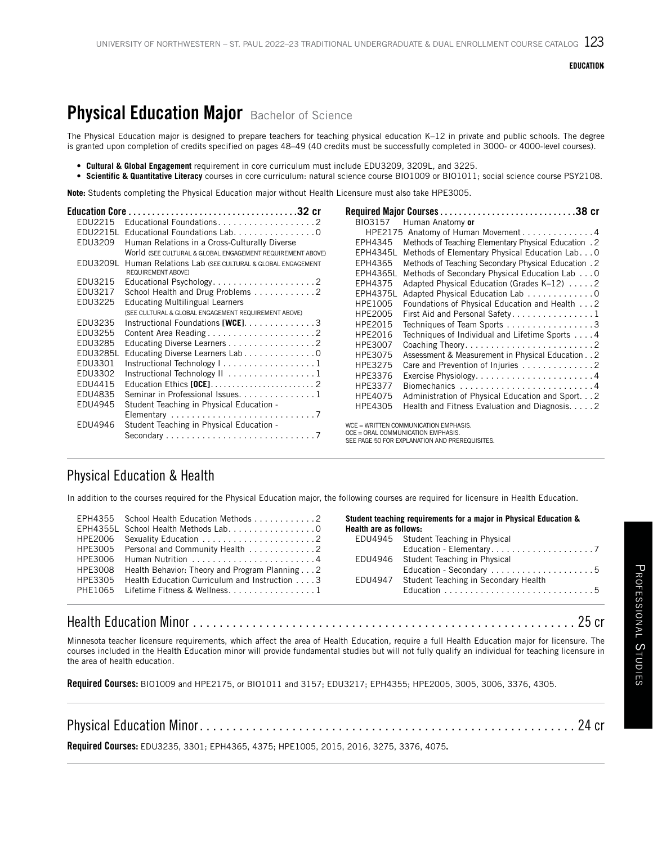# Physical Education Major Bachelor of Science

The Physical Education major is designed to prepare teachers for teaching physical education K–12 in private and public schools. The degree is granted upon completion of credits specified on pages 48–49 (40 credits must be successfully completed in 3000- or 4000-level courses).

- **Cultural & Global Engagement** requirement in core curriculum must include EDU3209, 3209L, and 3225.
- **Scientific & Quantitative Literacy** courses in core curriculum: natural science course BIO1009 or BIO1011; social science course PSY2108.

**Note:** Students completing the Physical Education major without Health Licensure must also take HPE3005.

| EDU2215<br>BI03157                                                            | Human Anatomy or                                      |
|-------------------------------------------------------------------------------|-------------------------------------------------------|
| Educational Foundations Lab. 0<br>EDU2215L                                    | HPE2175 Anatomy of Human Movement4                    |
| EDU3209<br>Human Relations in a Cross-Culturally Diverse<br>EPH4345           | Methods of Teaching Elementary Physical Education . 2 |
| World (SEE CULTURAL & GLOBAL ENGAGEMENT REQUIREMENT ABOVE)<br><b>EPH4345L</b> | Methods of Elementary Physical Education Lab. 0       |
| EDU3209L<br>Human Relations Lab (SEE CULTURAL & GLOBAL ENGAGEMENT<br>EPH4365  | Methods of Teaching Secondary Physical Education . 2  |
| <b>REQUIREMENT ABOVE)</b><br><b>EPH4365L</b>                                  | Methods of Secondary Physical Education Lab 0         |
| EDU3215<br>Educational Psychology2<br>EPH4375                                 | Adapted Physical Education (Grades K-12) 2            |
| EDU3217<br>School Health and Drug Problems 2<br><b>EPH4375L</b>               | Adapted Physical Education Lab 0                      |
| EDU3225<br>Educating Multilingual Learners<br>HPE1005                         | Foundations of Physical Education and Health 2        |
| (SEE CULTURAL & GLOBAL ENGAGEMENT REQUIREMENT ABOVE)<br>HPE2005               | First Aid and Personal Safety1                        |
| EDU3235<br>Instructional Foundations [WCE]. 3<br>HPE2015                      | Techniques of Team Sports 3                           |
| EDU3255<br>Content Area Reading2<br>HPE2016                                   | Techniques of Individual and Lifetime Sports 4        |
| EDU3285<br>Educating Diverse Learners 2<br><b>HPE3007</b>                     |                                                       |
| <b>EDU3285L</b><br>Educating Diverse Learners Lab. 0<br>HPE3075               | Assessment & Measurement in Physical Education 2      |
| EDU3301<br>HPE3275                                                            | Care and Prevention of Injuries 2                     |
| EDU3302<br>Instructional Technology II 1<br>HPE3376                           |                                                       |
| EDU4415<br><b>HPE3377</b>                                                     |                                                       |
| EDU4835<br>Seminar in Professional Issues. 1<br>HPE4075                       | Administration of Physical Education and Sport. 2     |
| EDU4945<br>Student Teaching in Physical Education -<br>HPE4305                | Health and Fitness Evaluation and Diagnosis2          |
|                                                                               |                                                       |
| EDU4946<br>Student Teaching in Physical Education -                           | $WCE = WRITTEN COMMUNICATION EMPHASIS.$               |
| SEE PAGE 50 FOR EXPLANATION AND PREREQUISITES.                                | OCE = ORAL COMMUNICATION EMPHASIS.                    |

## Physical Education & Health

In addition to the courses required for the Physical Education major, the following courses are required for licensure in Health Education.

|         | EPH4355 School Health Education Methods 2                   |
|---------|-------------------------------------------------------------|
|         | EPH4355L School Health Methods Lab. 0                       |
|         |                                                             |
|         | HPE3005 Personal and Community Health 2                     |
| HPE3006 | Human Nutrition $\ldots \ldots \ldots \ldots \ldots \ldots$ |
| HPE3008 | Health Behavior: Theory and Program Planning 2              |
| HPF3305 | Health Education Curriculum and Instruction 3               |
|         | PHE1065 Lifetime Fitness & Wellness1                        |
|         |                                                             |

| Student teaching requirements for a major in Physical Education &<br>Health are as follows: |                                              |  |
|---------------------------------------------------------------------------------------------|----------------------------------------------|--|
|                                                                                             | EDU4945 Student Teaching in Physical         |  |
|                                                                                             |                                              |  |
|                                                                                             | EDU4946 Student Teaching in Physical         |  |
|                                                                                             | Education - Secondary 5                      |  |
|                                                                                             | EDU4947 Student Teaching in Secondary Health |  |
|                                                                                             |                                              |  |
|                                                                                             |                                              |  |

## Health Education Minor . . . . . . . . . . . . . . . . . . . . . . . . . . . . . . . . . . . . . . . . . . . . . . . . . . . . . . . . . . 25 cr

Minnesota teacher licensure requirements, which affect the area of Health Education, require a full Health Education major for licensure. The courses included in the Health Education minor will provide fundamental studies but will not fully qualify an individual for teaching licensure in the area of health education.

Required Courses: BIO1009 and HPE2175, or BIO1011 and 3157; EDU3217; EPH4355; HPE2005, 3005, 3006, 3376, 4305.

### Physical Education Minor . . . . . . . . . . . . . . . . . . . . . . . . . . . . . . . . . . . . . . . . . . . . . . . . . . . . . . . . . 24 cr

Required Courses: EDU3235, 3301; EPH4365, 4375; HPE1005, 2015, 2016, 3275, 3376, 4075.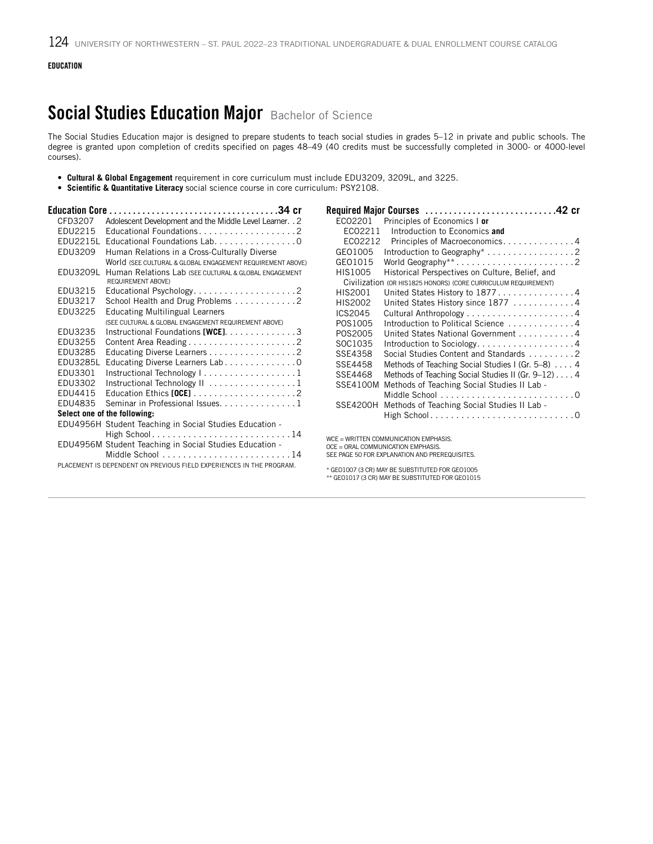# Social Studies Education Major Bachelor of Science

The Social Studies Education major is designed to prepare students to teach social studies in grades 5–12 in private and public schools. The degree is granted upon completion of credits specified on pages 48–49 (40 credits must be successfully completed in 3000- or 4000-level courses).

- **Cultural & Global Engagement** requirement in core curriculum must include EDU3209, 3209L, and 3225.
- **Scientific & Quantitative Literacy** social science course in core curriculum: PSY2108.

| CFD3207  | Adolescent Development and the Middle Level Learner. . 2                    |
|----------|-----------------------------------------------------------------------------|
| EDU2215  |                                                                             |
| FDU2215L | Educational Foundations Lab0                                                |
| EDU3209  | Human Relations in a Cross-Culturally Diverse                               |
|          | World (SEE CULTURAL & GLOBAL ENGAGEMENT REQUIREMENT ABOVE)                  |
| EDU3209L | Human Relations Lab (SEE CULTURAL & GLOBAL ENGAGEMENT<br>REQUIREMENT ABOVE) |
| EDU3215  | Educational Psychology2                                                     |
| EDU3217  | School Health and Drug Problems 2                                           |
| EDU3225  | <b>Educating Multilingual Learners</b>                                      |
|          | (SEE CULTURAL & GLOBAL ENGAGEMENT REQUIREMENT ABOVE)                        |
| EDU3235  | Instructional Foundations [WCE]. 3                                          |
| EDU3255  | Content Area Reading2                                                       |
| EDU3285  | Educating Diverse Learners 2                                                |
| EDU3285L | Educating Diverse Learners Lab 0                                            |
| EDU3301  |                                                                             |
| EDU3302  | Instructional Technology II 1                                               |
| EDU4415  |                                                                             |
| EDU4835  | Seminar in Professional Issues. 1                                           |
|          | Select one of the following:                                                |
|          | EDU4956H Student Teaching in Social Studies Education -                     |
|          | High School14                                                               |
|          | EDU4956M Student Teaching in Social Studies Education -                     |
|          | Middle School $\ldots \ldots \ldots \ldots \ldots$                          |
|          | PLACEMENT IS DEPENDENT ON PREVIOUS FIELD EXPERIENCES IN THE PROGRAM.        |
|          |                                                                             |

| EC02201         | Principles of Economics I or                                     |
|-----------------|------------------------------------------------------------------|
| EC02211         | Introduction to Economics and                                    |
| EC02212         | Principles of Macroeconomics4                                    |
| GE01005         | Introduction to Geography* 2                                     |
| GE01015         |                                                                  |
| HIS1005         | Historical Perspectives on Culture, Belief, and                  |
|                 | Civilization (OR HIS1825 HONORS) (CORE CURRICULUM REQUIREMENT)   |
| HIS2001         | United States History to 1877 4                                  |
| HIS2002         | United States History since 1877 4                               |
| ICS2045         |                                                                  |
| POS1005         | Introduction to Political Science 4                              |
| P0S2005         | United States National Government 4                              |
| SOC1035         | Introduction to Sociology. 4                                     |
| SSE4358         | Social Studies Content and Standards 2                           |
| SSE4458         | Methods of Teaching Social Studies I (Gr. 5–8)  4                |
| <b>SSE4468</b>  | Methods of Teaching Social Studies II (Gr. 9–12) 4               |
| SSE4100M        | Methods of Teaching Social Studies II Lab -                      |
|                 | Middle School $\ldots \ldots \ldots \ldots \ldots \ldots \ldots$ |
| <b>SSE4200H</b> | Methods of Teaching Social Studies II Lab -                      |
|                 | High School0                                                     |

WCE = WRITTEN COMMUNICATION EMPHASIS. OCE = ORAL COMMUNICATION EMPHASIS.

SEE PAGE 50 FOR EXPLANATION AND PREREQUISITES.

\* GEO1007 (3 CR) MAY BE SUBSTITUTED FOR GEO1005 \*\* GEO1017 (3 CR) MAY BE SUBSTITUTED FOR GEO1015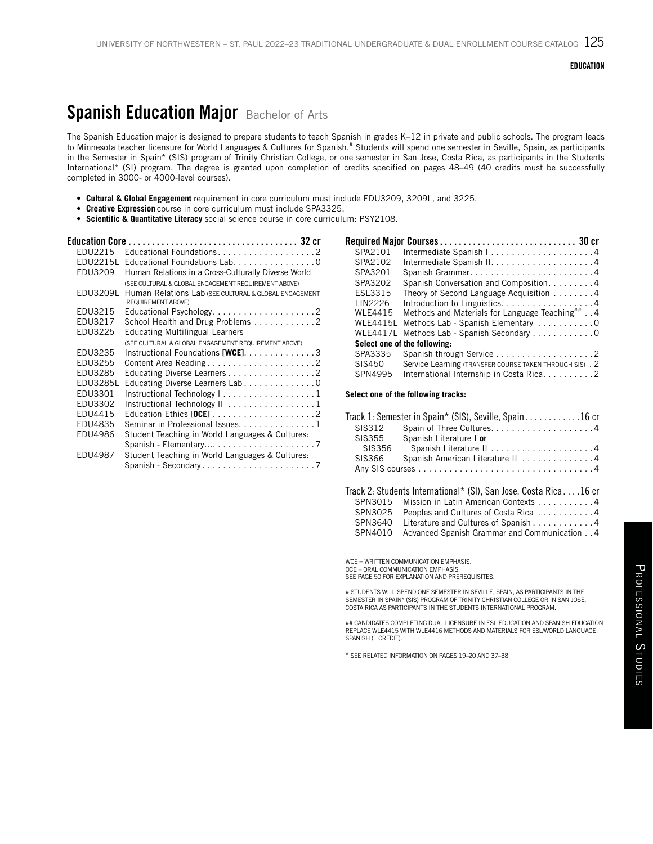# Spanish Education Major Bachelor of Arts

The Spanish Education major is designed to prepare students to teach Spanish in grades K–12 in private and public schools. The program leads to Minnesota teacher licensure for World Languages & Cultures for Spanish.<sup>#</sup> Students will spend one semester in Seville, Spain, as participants in the Semester in Spain\* (SIS) program of Trinity Christian College, or one semester in San Jose, Costa Rica, as participants in the Students International\* (SI) program. The degree is granted upon completion of credits specified on pages 48–49 (40 credits must be successfully completed in 3000- or 4000-level courses).

- **Cultural & Global Engagement** requirement in core curriculum must include EDU3209, 3209L, and 3225.
- **Creative Expression** course in core curriculum must include SPA3325.
- **Scientific & Quantitative Literacy** social science course in core curriculum: PSY2108.

| EDU2215  | Educational Foundations2                                                           |
|----------|------------------------------------------------------------------------------------|
| EDU2215L | Educational Foundations Lab. 0                                                     |
| EDU3209  | Human Relations in a Cross-Culturally Diverse World                                |
|          | (SEE CULTURAL & GLOBAL ENGAGEMENT REQUIREMENT ABOVE)                               |
| EDU3209L | Human Relations Lab (SEE CULTURAL & GLOBAL ENGAGEMENT<br><b>REQUIREMENT ABOVE)</b> |
| EDU3215  | Educational Psychology2                                                            |
| EDU3217  | School Health and Drug Problems 2                                                  |
| EDU3225  | <b>Educating Multilingual Learners</b>                                             |
|          | (SEE CULTURAL & GLOBAL ENGAGEMENT REQUIREMENT ABOVE)                               |
| EDU3235  | Instructional Foundations [WCE]. 3                                                 |
| EDU3255  | Content Area Reading2                                                              |
| EDU3285  | Educating Diverse Learners 2                                                       |
| EDU3285L | Educating Diverse Learners Lab0                                                    |
| EDU3301  | Instructional Technology   1                                                       |
| EDU3302  | Instructional Technology II 1                                                      |
| EDU4415  |                                                                                    |
| EDU4835  | Seminar in Professional Issues. 1                                                  |
| EDU4986  | Student Teaching in World Languages & Cultures:                                    |
|          |                                                                                    |
| EDU4987  | Student Teaching in World Languages & Cultures:                                    |
|          |                                                                                    |

| SPA2101         |                                                         |
|-----------------|---------------------------------------------------------|
| SPA2102         |                                                         |
| SPA3201         |                                                         |
| SPA3202         | Spanish Conversation and Composition4                   |
| ESL3315         | Theory of Second Language Acquisition 4                 |
| LIN2226         | Introduction to Linguistics. 4                          |
| <b>WLE4415</b>  | Methods and Materials for Language Teaching## 4         |
| <b>WLE4415L</b> | Methods Lab - Spanish Elementary 0                      |
| WI F4417I       | Methods Lab - Spanish Secondary 0                       |
|                 | Select one of the following:                            |
| SPA3335         | Spanish through Service 2                               |
| SIS450          | Service Learning (TRANSFER COURSE TAKEN THROUGH SIS). 2 |
| SPN4995         | International Internship in Costa Rica. 2               |
|                 |                                                         |

#### **Select one of the following tracks:**

| Track 1: Semester in Spain* (SIS), Seville, Spain16 cr |                                  |  |  |
|--------------------------------------------------------|----------------------------------|--|--|
| SIS312                                                 |                                  |  |  |
| SIS355                                                 | Spanish Literature I or          |  |  |
| SIS356                                                 |                                  |  |  |
| SIS366                                                 | Spanish American Literature II 4 |  |  |
|                                                        |                                  |  |  |

### Track 2: Students International\* (SI), San Jose, Costa Rica . . . 16 cr

| SPN3015 Mission in Latin American Contexts 4         |
|------------------------------------------------------|
| SPN3025 Peoples and Cultures of Costa Rica 4         |
| SPN3640 Literature and Cultures of Spanish4          |
| SPN4010 Advanced Spanish Grammar and Communication 4 |

WCE = WRITTEN COMMUNICATION EMPHASIS OCE = ORAL COMMUNICATION EMPHASIS.

SEE PAGE 50 FOR EXPLANATION AND PREREQUISITES.

# STUDENTS WILL SPEND ONE SEMESTER IN SEVILLE, SPAIN, AS PARTICIPANTS IN THE SEMESTER IN SPAIN\* (SIS) PROGRAM OF TRINITY CHRISTIAN COLLEGE OR IN SAN JOSE, COSTA RICA AS PARTICIPANTS IN THE STUDENTS INTERNATIONAL PROGRAM.

## CANDIDATES COMPLETING DUAL LICENSURE IN ESL EDUCATION AND SPANISH EDUCATION REPLACE WLE4415 WITH WLE4416 METHODS AND MATERIALS FOR ESL/WORLD LANGUAGE: SPANISH (1 CREDIT).

\* SEE RELATED INFORMATION ON PAGES 19–20 AND 37–38